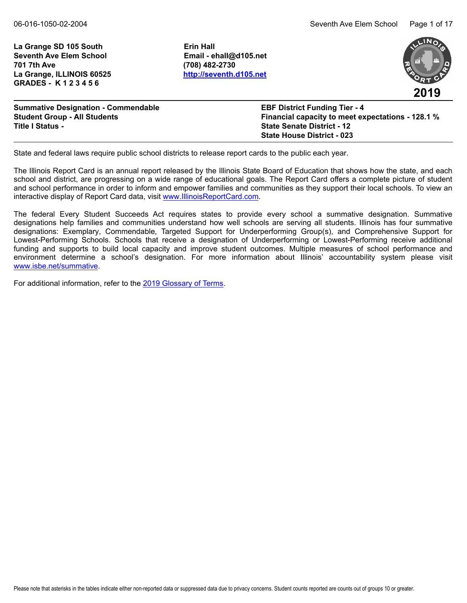La Grange SD 105 South **Example 20 State SD** Erin Hall **Seventh Ave Elem School Email - ehall@d105.net 701 7th Ave (708) 482-2730 La Grange, ILLINOIS 60525 <http://seventh.d105.net> GRADES - K 1 2 3 4 5 6**



| <b>Summative Designation - Commendable</b> | <b>EBF District Funding Tier - 4</b>                     |
|--------------------------------------------|----------------------------------------------------------|
| <b>Student Group - All Students</b>        | <b>Financial capacity to meet expectations - 128.1 %</b> |
| <b>Title I Status -</b>                    | <b>State Senate District - 12</b>                        |
|                                            | <b>State House District - 023</b>                        |

State and federal laws require public school districts to release report cards to the public each year.

The Illinois Report Card is an annual report released by the Illinois State Board of Education that shows how the state, and each school and district, are progressing on a wide range of educational goals. The Report Card offers a complete picture of student and school performance in order to inform and empower families and communities as they support their local schools. To view an interactive display of Report Card data, visit [www.IllinoisReportCard.com](https://www.illinoisreportcard.com/).

The federal Every Student Succeeds Act requires states to provide every school a summative designation. Summative designations help families and communities understand how well schools are serving all students. Illinois has four summative designations: Exemplary, Commendable, Targeted Support for Underperforming Group(s), and Comprehensive Support for Lowest-Performing Schools. Schools that receive a designation of Underperforming or Lowest-Performing receive additional funding and supports to build local capacity and improve student outcomes. Multiple measures of school performance and environment determine a school's designation. For more information about Illinois' accountability system please visit [www.isbe.net/summative](https://www.isbe.net/summative).

For additional information, refer to th[e 2019 Glossary of Terms.](https://www.isbe.net/Documents/2019-Report-Card-Glossary-Terms.pdf)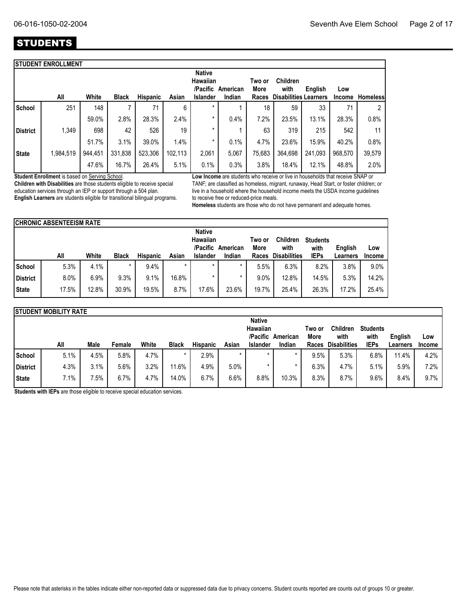## **STUDENTS**

|                 | <b>STUDENT ENROLLMENT</b> |         |              |          |         |                                       |          |                |                              |         |               |                 |
|-----------------|---------------------------|---------|--------------|----------|---------|---------------------------------------|----------|----------------|------------------------------|---------|---------------|-----------------|
|                 |                           |         |              |          |         | <b>Native</b><br>Hawaiian<br>/Pacific | American | Two or<br>More | <b>Children</b><br>with      | English | Low           |                 |
|                 | All                       | White   | <b>Black</b> | Hispanic | Asian   | <b>Islander</b>                       | Indian   | Races          | <b>Disabilities Learners</b> |         | <b>Income</b> | <b>Homeless</b> |
| School          | 251                       | 148     |              | 71       | 6       | $\star$                               |          | 18             | 59                           | 33      | 71            | 2               |
|                 |                           | 59.0%   | 2.8%         | 28.3%    | 2.4%    | *                                     | 0.4%     | 7.2%           | 23.5%                        | 13.1%   | 28.3%         | 0.8%            |
| <b>District</b> | 1,349                     | 698     | 42           | 526      | 19      | $\star$                               |          | 63             | 319                          | 215     | 542           | 11              |
|                 |                           | 51.7%   | 3.1%         | 39.0%    | 1.4%    | *                                     | 0.1%     | 4.7%           | 23.6%                        | 15.9%   | 40.2%         | 0.8%            |
| <b>State</b>    | 1,984,519                 | 944,451 | 331,838      | 523,306  | 102,113 | 2,061                                 | 5,067    | 75,683         | 364,698                      | 241,093 | 968,570       | 39,579          |
|                 |                           | 47.6%   | 16.7%        | 26.4%    | 5.1%    | 0.1%                                  | 0.3%     | 3.8%           | 18.4%                        | 12.1%   | 48.8%         | 2.0%            |
|                 |                           |         |              |          |         |                                       |          |                |                              |         |               |                 |

**Student Enrollment** is based on Serving School.

**Children with Disabilities** are those students eligible to receive special education services through an IEP or support through a 504 plan. **English Learners** are students eligible for transitional bilingual programs. **Low Income** are students who receive or live in households that receive SNAP or TANF; are classified as homeless, migrant, runaway, Head Start, or foster children; or live in a household where the household income meets the USDA income guidelines to receive free or reduced-price meals.

**Homeless** students are those who do not have permanent and adequate homes.

|               | <b>ICHRONIC ABSENTEEISM RATE</b> |       |              |                 |         |                      |          |                |                         |                         |          |               |
|---------------|----------------------------------|-------|--------------|-----------------|---------|----------------------|----------|----------------|-------------------------|-------------------------|----------|---------------|
|               | <b>Native</b>                    |       |              |                 |         |                      |          |                |                         |                         |          |               |
|               |                                  |       |              |                 |         | Hawaiian<br>/Pacific | American | Two or<br>More | <b>Children</b><br>with | <b>Students</b><br>with | English  | Low           |
|               | All                              | White | <b>Black</b> | <b>Hispanic</b> | Asian   | Islander             | Indian   | Races          | <b>Disabilities</b>     | <b>IEPs</b>             | Learners | <b>Income</b> |
| <b>School</b> | 5.3%                             | 4.1%  | $\star$      | 9.4%            | $\star$ | $\star$              | *        | 5.5%           | 6.3%                    | 8.2%                    | 3.8%     | $9.0\%$       |
| District      | 8.0%                             | 6.9%  | 9.3%         | 9.1%            | 16.8%   |                      |          | 9.0%           | 12.8%                   | 14.5%                   | 5.3%     | 14.2%         |
| <b>State</b>  | 17.5%                            | 12.8% | 30.9%        | 19.5%           | 8.7%    | 17.6%                | 23.6%    | 19.7%          | 25.4%                   | 26.3%                   | 17.2%    | 25.4%         |

|              | <b>ISTUDENT MOBILITY RATE</b> |      |        |       |              |                 |         |                      |          |                |                         |                         |          |               |
|--------------|-------------------------------|------|--------|-------|--------------|-----------------|---------|----------------------|----------|----------------|-------------------------|-------------------------|----------|---------------|
|              |                               |      |        |       |              |                 |         | <b>Native</b>        |          |                |                         |                         |          |               |
|              |                               |      |        |       |              |                 |         | Hawaiian<br>/Pacific | American | Two or<br>More | <b>Children</b><br>with | <b>Students</b><br>with | English  | Low           |
|              | All                           | Male | Female | White | <b>Black</b> | <b>Hispanic</b> | Asian   | <b>Islander</b>      | Indian   | Races          | <b>Disabilities</b>     | <b>IEPs</b>             | Learners | <b>Income</b> |
| School       | 5.1%                          | 4.5% | 5.8%   | 4.7%  |              | 2.9%            | $\star$ | $\star$              |          | 9.5%           | 5.3%                    | 6.8%                    | 11.4%    | 4.2%          |
| District     | 4.3%                          | 3.1% | 5.6%   | 3.2%  | 11.6%        | 4.9%            | 5.0%    |                      |          | 6.3%           | 4.7%                    | 5.1%                    | 5.9%     | 7.2%          |
| <b>State</b> | 7.1%                          | '.5% | 6.7%   | 4.7%  | 14.0%        | 6.7%            | 6.6%    | 8.8%                 | 10.3%    | 8.3%           | 8.7%                    | $9.6\%$                 | 8.4%     | 9.7%          |

**Students with IEPs** are those eligible to receive special education services.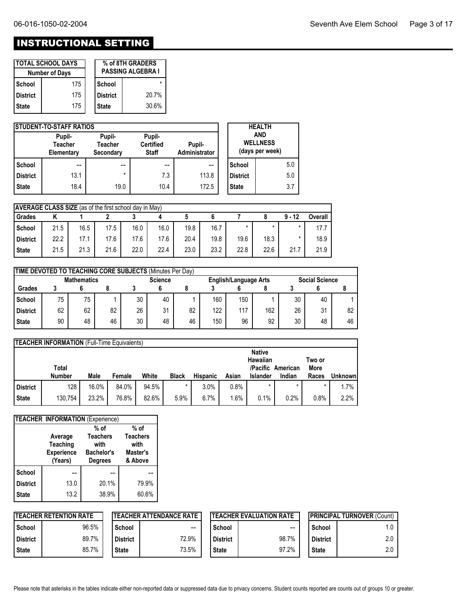# INSTRUCTIONAL SETTING

|            | <b>TOTAL SCHOOL DAYS</b><br><b>Number of Days</b> |              | % of 8TH GRADERS<br><b>PASSING ALGEBRA I</b> |
|------------|---------------------------------------------------|--------------|----------------------------------------------|
| School     | 175                                               | School       |                                              |
| l District | 175                                               | l District   | 20.7%                                        |
| l State    | 175                                               | <b>State</b> | 30.6%                                        |

|                 | <b>ISTUDENT-TO-STAFF RATIOS</b>        |                                       |                                            |                         |                 | <b>HEALTH</b>                                    |
|-----------------|----------------------------------------|---------------------------------------|--------------------------------------------|-------------------------|-----------------|--------------------------------------------------|
|                 | Pupil-<br><b>Teacher</b><br>Elementary | Pupil-<br><b>Teacher</b><br>Secondary | Pupil-<br><b>Certified</b><br><b>Staff</b> | Pupil-<br>Administrator |                 | <b>AND</b><br><b>WELLNESS</b><br>(days per week) |
| School          | --                                     | $- -$                                 | --                                         | --                      | School          | 5.0                                              |
| <b>District</b> | 13.1                                   | $\star$                               | 7.3                                        | 113.8                   | <b>District</b> | 5.0                                              |
| <b>State</b>    | 18.4                                   | 19.0                                  | 10.4                                       | 172.5                   | <b>State</b>    | 3.7                                              |

|              | <b>AVERAGE CLASS SIZE</b> (as of the first school day in May) |      |      |      |      |      |      |      |      |          |         |  |  |
|--------------|---------------------------------------------------------------|------|------|------|------|------|------|------|------|----------|---------|--|--|
| Grades       |                                                               |      |      |      |      |      |      |      |      | $9 - 12$ | Overall |  |  |
| School       | 21.5                                                          | 16.5 | 17.5 | 16.0 | 16.0 | 19.8 | 16.7 |      |      |          | 17.7    |  |  |
| District     | 22.2                                                          | 17.1 | 17.6 | 17.6 | 17.6 | 20.4 | 19.8 | 19.6 | 18.3 | $\star$  | 18.9    |  |  |
| <b>State</b> | 21.5                                                          | 21.3 | 21.6 | 22.0 | 22.4 | 23.0 | 23.2 | 22.8 | 22.6 | 21.7     | 21.9    |  |  |

|                 | TIME DEVOTED TO TEACHING CORE SUBJECTS (Minutes Per Day) |    |    |    |                                                |    |     |     |                       |    |    |    |  |
|-----------------|----------------------------------------------------------|----|----|----|------------------------------------------------|----|-----|-----|-----------------------|----|----|----|--|
|                 | <b>Mathematics</b>                                       |    |    |    | <b>Science</b><br><b>English/Language Arts</b> |    |     |     | <b>Social Science</b> |    |    |    |  |
| <b>Grades</b>   |                                                          |    |    |    |                                                |    |     |     |                       |    |    |    |  |
| School          | 75                                                       | 75 |    | 30 | 40                                             |    | 160 | 150 |                       | 30 | 40 |    |  |
| <b>District</b> | 62                                                       | 62 | 82 | 26 | 31                                             | 82 | 122 | 117 | 162                   | 26 | 31 | 82 |  |
| <b>State</b>    | 90                                                       | 48 | 46 | 30 | 48                                             | 46 | 150 | 96  | 92                    | 30 | 48 | 46 |  |

|                 | <b>TEACHER INFORMATION</b> (Full-Time Equivalents) |       |        |       |              |                 |       |                 |          |        |                |  |  |
|-----------------|----------------------------------------------------|-------|--------|-------|--------------|-----------------|-------|-----------------|----------|--------|----------------|--|--|
|                 |                                                    |       |        |       |              |                 |       | <b>Native</b>   |          |        |                |  |  |
|                 |                                                    |       |        |       |              |                 |       | Hawaiian        |          | Two or |                |  |  |
|                 | Total                                              |       |        |       |              |                 |       | /Pacific        | American | More   |                |  |  |
|                 |                                                    |       |        |       |              |                 |       |                 |          |        |                |  |  |
|                 | <b>Number</b>                                      | Male  | Female | White | <b>Black</b> | <b>Hispanic</b> | Asian | <b>Islander</b> | Indian   | Races  | <b>Unknown</b> |  |  |
| <b>District</b> | 128                                                | 16.0% | 84.0%  | 94.5% | $\star$      | 3.0%            | 0.8%  |                 |          |        | $.7\%$         |  |  |

|                 | <b>TEACHER INFORMATION (Experience)</b> |                         |                         |
|-----------------|-----------------------------------------|-------------------------|-------------------------|
|                 |                                         | $%$ of                  | $%$ of                  |
|                 | Average<br>Teaching                     | <b>Teachers</b><br>with | <b>Teachers</b><br>with |
|                 | <b>Experience</b>                       | <b>Bachelor's</b>       | Master's                |
|                 | (Years)                                 | <b>Degrees</b>          | & Above                 |
| School          |                                         |                         |                         |
| <b>District</b> | 13.0                                    | 20.1%                   | 79.9%                   |
| <b>State</b>    | 13.2                                    | 38.9%                   | 60.6%                   |

|                 | <b>ITEACHER RETENTION RATE</b> |              | <b>ITEACHER ATTENDANCE RATE</b> |                 | <b>ITEACHER EVALUATION RATE</b> | <b>IPRINCIPAL TURNOVER (Count)</b> |     |  |
|-----------------|--------------------------------|--------------|---------------------------------|-----------------|---------------------------------|------------------------------------|-----|--|
| School          | 96.5%                          | School       | $\sim$ $\sim$                   | School          | --                              | School                             | 1.0 |  |
| <b>District</b> | 89.7%                          | l District   | 72.9%                           | <b>District</b> | 98.7%                           | <b>District</b>                    | 2.0 |  |
| <b>State</b>    | 85.7%                          | <b>State</b> | 73.5%                           | <b>State</b>    | 97.2%                           | <b>State</b>                       | 2.0 |  |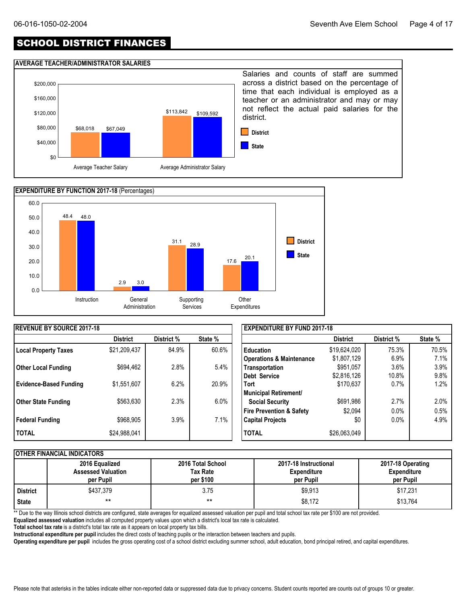## SCHOOL DISTRICT FINANCES

#### **AVERAGE TEACHER/ADMINISTRATOR SALARIES**





| <b>REVENUE BY SOURCE 2017-18</b> |                 |            |         | <b>EXPENDITURE BY FUND 2017-18</b>  |                 |            |         |  |  |  |
|----------------------------------|-----------------|------------|---------|-------------------------------------|-----------------|------------|---------|--|--|--|
|                                  | <b>District</b> | District % | State % |                                     | <b>District</b> | District % | State % |  |  |  |
| <b>Local Property Taxes</b>      | \$21,209,437    | 84.9%      | 60.6%   | <b>Education</b>                    | \$19,624,020    | 75.3%      | 70.5%   |  |  |  |
|                                  |                 |            |         | <b>Operations &amp; Maintenance</b> | \$1,807,129     | 6.9%       | 7.1%    |  |  |  |
| <b>Other Local Funding</b>       | \$694,462       | 2.8%       | 5.4%    | Transportation                      | \$951,057       | 3.6%       | 3.9%    |  |  |  |
|                                  |                 |            |         | Debt Service                        | \$2,816,126     | 10.8%      | 9.8%    |  |  |  |
| <b>Evidence-Based Funding</b>    | \$1,551,607     | 6.2%       | 20.9%   | <b>Tort</b>                         | \$170,637       | 0.7%       | 1.2%    |  |  |  |
|                                  |                 |            |         | <b>Municipal Retirement/</b>        |                 |            |         |  |  |  |
| Other State Funding              | \$563,630       | 2.3%       | $6.0\%$ | <b>Social Security</b>              | \$691,986       | 2.7%       | 2.0%    |  |  |  |
|                                  |                 |            |         | <b>Fire Prevention &amp; Safety</b> | \$2,094         | $0.0\%$    | 0.5%    |  |  |  |
| Federal Funding                  | \$968,905       | 3.9%       | 7.1%    | <b>Capital Projects</b>             | \$0             | $0.0\%$    | 4.9%    |  |  |  |
| I TOTAL                          | \$24,988,041    |            |         | <b>TOTAL</b>                        | \$26,063,049    |            |         |  |  |  |

#### **OTHER FINANCIAL INDICATORS**

|            | 2016 Equalized<br><b>Assessed Valuation</b><br>per Pupil | 2016 Total School<br>Tax Rate<br>per \$100 | 2017-18 Instructional<br><b>Expenditure</b><br>per Pupil | 2017-18 Operating<br><b>Expenditure</b><br>per Pupil |
|------------|----------------------------------------------------------|--------------------------------------------|----------------------------------------------------------|------------------------------------------------------|
| l District | \$437.379                                                | 3.75                                       | \$9,913                                                  | \$17,231                                             |
| State      | $***$                                                    | $***$                                      | \$8,172                                                  | \$13,764                                             |

\*\* Due to the way Illinois school districts are configured, state averages for equalized assessed valuation per pupil and total school tax rate per \$100 are not provided.

**Equalized assessed valuation** includes all computed property values upon which a district's local tax rate is calculated.

**Total school tax rate** is a district's total tax rate as it appears on local property tax bills.

**Instructional expenditure per pupil** includes the direct costs of teaching pupils or the interaction between teachers and pupils.

**Operating expenditure per pupil** includes the gross operating cost of a school district excluding summer school, adult education, bond principal retired, and capital expenditures.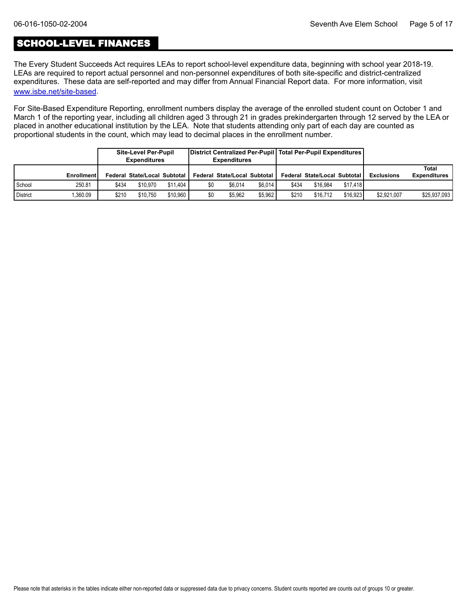## SCHOOL-LEVEL FINANCES

[www.isbe.net/site-based](https://www.isbe.net/site-based). The Every Student Succeeds Act requires LEAs to report school-level expenditure data, beginning with school year 2018-19. LEAs are required to report actual personnel and non-personnel expenditures of both site-specific and district-centralized expenditures. These data are self-reported and may differ from Annual Financial Report data. For more information, visit

For Site-Based Expenditure Reporting, enrollment numbers display the average of the enrolled student count on October 1 and March 1 of the reporting year, including all children aged 3 through 21 in grades prekindergarten through 12 served by the LEA or placed in another educational institution by the LEA. Note that students attending only part of each day are counted as proportional students in the count, which may lead to decimal places in the enrollment number.

|                 |                   |       | Site-Level Per-Pupil<br><b>Expenditures</b> |          |     | District Centralized Per-Pupil   Total Per-Pupil Expenditures  <br><b>Expenditures</b> |         |       |                                       |          |                   |                              |
|-----------------|-------------------|-------|---------------------------------------------|----------|-----|----------------------------------------------------------------------------------------|---------|-------|---------------------------------------|----------|-------------------|------------------------------|
|                 | <b>Enrollment</b> |       | Federal State/Local Subtotal                |          |     | Federal State/Local Subtotal                                                           |         |       | <b>Federal State/Local Subtotal I</b> |          | <b>Exclusions</b> | Total<br><b>Expenditures</b> |
| School          | 250.81            | \$434 | \$10.970                                    | \$11,404 | \$0 | \$6.014                                                                                | \$6.014 | \$434 | \$16.984                              | \$17.418 |                   |                              |
| <b>District</b> | .360.09           | \$210 | \$10.750                                    | \$10.960 | \$0 | \$5.962                                                                                | \$5.962 | \$210 | \$16.712                              | \$16.923 | \$2,921,007       | \$25,937,093                 |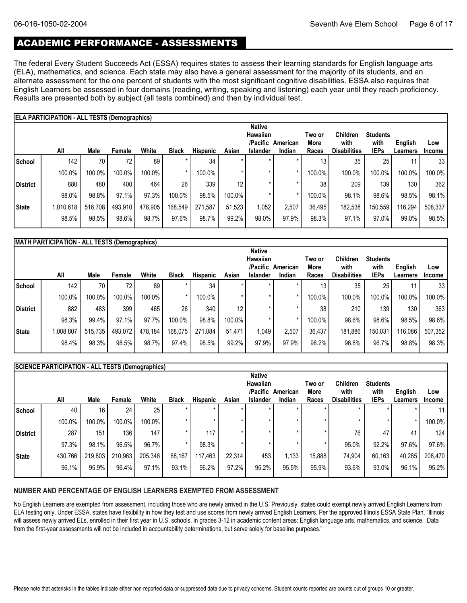## ACADEMIC PERFORMANCE - ASSESSMENTS

The federal Every Student Succeeds Act (ESSA) requires states to assess their learning standards for English language arts (ELA), mathematics, and science. Each state may also have a general assessment for the majority of its students, and an alternate assessment for the one percent of students with the most significant cognitive disabilities. ESSA also requires that English Learners be assessed in four domains (reading, writing, speaking and listening) each year until they reach proficiency. Results are presented both by subject (all tests combined) and then by individual test.

|              | ELA PARTICIPATION - ALL TESTS (Demographics)<br><b>Native</b>              |         |                 |         |         |         |        |       |         |                                |                                                |                                        |                     |                      |  |
|--------------|----------------------------------------------------------------------------|---------|-----------------|---------|---------|---------|--------|-------|---------|--------------------------------|------------------------------------------------|----------------------------------------|---------------------|----------------------|--|
|              | All<br>White<br>Male<br><b>Black</b><br><b>Hispanic</b><br>Asian<br>Female |         |                 |         |         |         |        |       |         | Two or<br><b>More</b><br>Races | <b>Children</b><br>with<br><b>Disabilities</b> | <b>Students</b><br>with<br><b>IEPs</b> | English<br>Learners | Low<br><b>Income</b> |  |
| l School     | 142                                                                        | 70      | 72 <sub>1</sub> | 89      |         | 34      |        |       |         | 13                             | 35                                             | 25                                     |                     | 33                   |  |
|              | 100.0%                                                                     | 100.0%  | 100.0%          | 100.0%  |         | 100.0%  |        |       |         | 100.0%                         | 100.0%                                         | 100.0%                                 | 100.0%              | 100.0%               |  |
| District     | 880                                                                        | 480     | 400             | 464     | 26      | 339     | 12     |       | $\star$ | 38                             | 209                                            | 139                                    | 130                 | 362                  |  |
|              | 98.0%                                                                      | 98.8%   | 97.1%           | 97.3%   | 100.0%  | 98.5%   | 100.0% |       |         | 100.0%                         | 98.1%                                          | 98.6%                                  | 98.5%               | 98.1%                |  |
| <b>State</b> | 1,010,618                                                                  | 516,708 | 493,910         | 478,905 | 168,549 | 271,587 | 51,523 | 1,052 | 2,507   | 36,495                         | 182,538                                        | 150,559                                | 116,294             | 508,337              |  |
|              | 98.5%                                                                      | 98.5%   | 98.6%           | 98.7%   | 97.6%   | 98.7%   | 99.2%  | 98.0% | 97.9%   | 98.3%                          | 97.1%                                          | 97.0%                                  | 99.0%               | 98.5%                |  |

| MATH PARTICIPATION - ALL TESTS (Demographics) |  |
|-----------------------------------------------|--|

|          |           |         |         |         |              |                 |        | <b>Native</b>   |          |        |                     |                 |                  |               |
|----------|-----------|---------|---------|---------|--------------|-----------------|--------|-----------------|----------|--------|---------------------|-----------------|------------------|---------------|
|          |           |         |         |         |              |                 |        | Hawaiian        |          | Two or | <b>Children</b>     | <b>Students</b> |                  |               |
|          |           |         |         |         |              |                 |        | /Pacific        | American | More   | with                | with            | English          | Low           |
|          | All       | Male    | Female  | White   | <b>Black</b> | <b>Hispanic</b> | Asian  | <b>Islander</b> | Indian   | Races  | <b>Disabilities</b> | <b>IEPs</b>     | Learners         | <b>Income</b> |
| School   | 142       | 70      | 72.     | 89      |              | 34              |        |                 |          | 13     | 35                  | 25 <sub>1</sub> |                  | 33            |
|          | 100.0%    | 100.0%  | 100.0%  | 100.0%  |              | 100.0%          |        |                 |          | 100.0% | 100.0%              | 100.0%          | 100.0%           | 100.0%        |
| District | 882       | 483     | 399     | 465     | 26           | 340             | 12     |                 |          | 38     | 210                 | 139             | 130 <sub>1</sub> | 363           |
|          | 98.3%     | 99.4%   | 97.1%   | 97.7%   | 100.0%       | 98.8%           | 100.0% |                 |          | 100.0% | 98.6%               | 98.6%           | 98.5%            | 98.6%         |
| State    | 1,008,807 | 515,735 | 493,072 | 478,184 | 168,075      | 271,084         | 51.471 | 1,049           | 2,507    | 36,437 | 181,886             | 150,031         | 116,086          | 507,352       |
|          | 98.4%     | 98.3%   | 98.5%   | 98.7%   | 97.4%        | 98.5%           | 99.2%  | 97.9%           | 97.9%    | 98.2%  | 96.8%               | 96.7%           | 98.8%            | 98.3%         |
|          |           |         |         |         |              |                 |        |                 |          |        |                     |                 |                  |               |

|                 | SCIENCE PARTICIPATION - ALL TESTS (Demographics) |         |                  |         |              |          |         |                 |          |        |                     |                 |                 |               |
|-----------------|--------------------------------------------------|---------|------------------|---------|--------------|----------|---------|-----------------|----------|--------|---------------------|-----------------|-----------------|---------------|
|                 |                                                  |         |                  |         |              |          |         | <b>Native</b>   |          |        |                     |                 |                 |               |
|                 |                                                  |         |                  |         |              |          |         | Hawaiian        |          | Two or | <b>Children</b>     | <b>Students</b> |                 |               |
|                 |                                                  |         |                  |         |              |          |         | /Pacific        | American | More   | with                | with            | English         | Low           |
|                 | All                                              | Male    | Female           | White   | <b>Black</b> | Hispanic | Asian   | <b>Islander</b> | Indian   | Races  | <b>Disabilities</b> | <b>IEPs</b>     | <b>Learners</b> | <b>Income</b> |
| School          | 40                                               | 16      | 24               | 25      |              | $\star$  |         | $\star$         |          |        |                     |                 |                 | 11            |
|                 | 100.0%                                           | 100.0%  | 100.0%           | 100.0%  |              | $\star$  | $\star$ |                 |          |        |                     |                 | *               | 100.0%        |
| <b>District</b> | 287                                              | 151     | 136 <sub>1</sub> | 147     |              | 117      | $\star$ |                 |          |        | 76                  | 47              | 41              | 124           |
|                 | 97.3%                                            | 98.1%   | 96.5%            | 96.7%   |              | 98.3%    |         |                 |          |        | 95.0%               | 92.2%           | 97.6%           | 97.6%         |
| <b>State</b>    | 430,766                                          | 219,803 | 210,963          | 205,348 | 68,167       | 117,463  | 22,314  | 453             | 1,133    | 15,888 | 74,904              | 60,163          | 40,285          | 208,470       |
|                 | 96.1%                                            | 95.9%   | 96.4%            | 97.1%   | 93.1%        | 96.2%    | 97.2%   | 95.2%           | 95.5%    | 95.9%  | 93.6%               | 93.0%           | 96.1%           | 95.2%         |

#### **NUMBER AND PERCENTAGE OF ENGLISH LEARNERS EXEMPTED FROM ASSESSMENT**

No English Learners are exempted from assessment, including those who are newly arrived in the U.S. Previously, states could exempt newly arrived English Learners from ELA testing only. Under ESSA, states have flexibility in how they test and use scores from newly arrived English Learners. Per the approved Illinois ESSA State Plan, "Illinois will assess newly arrived ELs, enrolled in their first year in U.S. schools, in grades 3-12 in academic content areas: English language arts, mathematics, and science. Data from the first-year assessments will not be included in accountability determinations, but serve solely for baseline purposes."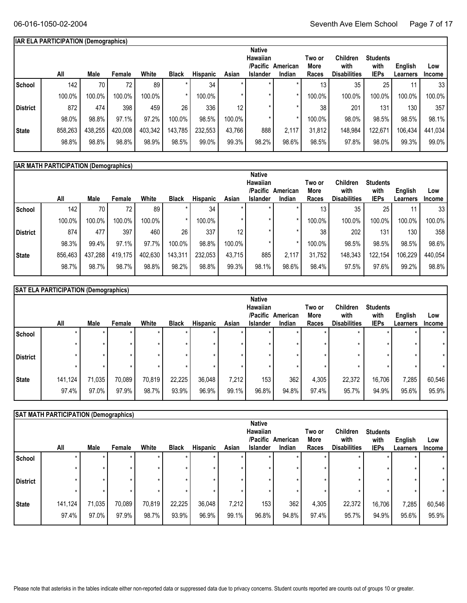## **IAR ELA PARTICIPATION (Demographics)**

|              | All     | Male    | Female  | White   | <b>Black</b> | <b>Hispanic</b> | Asian           | <b>Native</b><br>Hawaiian<br>/Pacific<br><b>Islander</b> | American<br>Indian | Two or<br>More<br>Races | <b>Children</b><br>with<br><b>Disabilities</b> | <b>Students</b><br>with<br><b>IEPs</b> | English<br>Learners | Low<br><b>Income</b> |
|--------------|---------|---------|---------|---------|--------------|-----------------|-----------------|----------------------------------------------------------|--------------------|-------------------------|------------------------------------------------|----------------------------------------|---------------------|----------------------|
| School       | 142     | 70      | 72.     | 89      |              | 34              |                 |                                                          |                    | 13                      | 35                                             | 25                                     |                     | 33                   |
|              | 100.0%  | 100.0%  | 100.0%  | 100.0%  |              | 100.0%          |                 |                                                          |                    | 100.0%                  | 100.0%                                         | 100.0%                                 | 100.0%              | 100.0%               |
| District     | 872     | 474     | 398     | 459     | 26           | 336             | 12 <sup>°</sup> |                                                          |                    | 38                      | 201                                            | 131                                    | 130                 | 357                  |
|              | 98.0%   | 98.8%   | 97.1%   | 97.2%   | 100.0%       | 98.5%           | 100.0%          |                                                          |                    | 100.0%                  | 98.0%                                          | 98.5%                                  | 98.5%               | 98.1%                |
| <b>State</b> | 858,263 | 438,255 | 420,008 | 403,342 | 143,785      | 232,553         | 43.766          | 888                                                      | 2,117              | 31,812                  | 148,984                                        | 122,671                                | 106,434             | 441,034              |
|              | 98.8%   | 98.8%   | 98.8%   | 98.9%   | 98.5%        | 99.0%           | 99.3%           | 98.2%                                                    | 98.6%              | 98.5%                   | 97.8%                                          | 98.0%                                  | 99.3%               | 99.0%                |
|              |         |         |         |         |              |                 |                 |                                                          |                    |                         |                                                |                                        |                     |                      |

|                 | <b>IAR MATH PARTICIPATION (Demographics)</b> |         |                 |         |              |          |                 |                                                   |                    |                         |                                                |                                        |                     |                      |  |
|-----------------|----------------------------------------------|---------|-----------------|---------|--------------|----------|-----------------|---------------------------------------------------|--------------------|-------------------------|------------------------------------------------|----------------------------------------|---------------------|----------------------|--|
|                 | All                                          | Male    | Female          | White   | <b>Black</b> | Hispanic | Asian           | <b>Native</b><br>Hawaiian<br>/Pacific<br>Islander | American<br>Indian | Two or<br>More<br>Races | <b>Children</b><br>with<br><b>Disabilities</b> | <b>Students</b><br>with<br><b>IEPs</b> | English<br>Learners | Low<br><b>Income</b> |  |
| School          | 142                                          | 70      | 72 <sub>1</sub> | 89      |              | 34       |                 |                                                   |                    | 13 <sub>1</sub>         | 35                                             | 25                                     |                     | 33                   |  |
|                 | 100.0%                                       | 100.0%  | 100.0%          | 100.0%  | $\star$      | 100.0%   | $\star$         |                                                   |                    | 100.0%                  | 100.0%                                         | 100.0%                                 | 100.0%              | 100.0%               |  |
| <b>District</b> | 874                                          | 477     | 397             | 460     | 26           | 337      | 12 <sub>1</sub> |                                                   |                    | 38                      | 202                                            | 131                                    | 130                 | 358                  |  |
|                 | 98.3%                                        | 99.4%   | 97.1%           | 97.7%   | 100.0%       | 98.8%    | 100.0%          |                                                   |                    | 100.0%                  | 98.5%                                          | 98.5%                                  | 98.5%               | 98.6%                |  |
| State           | 856,463                                      | 437,288 | 419.175         | 402,630 | 143,311      | 232,053  | 43.715          | 885                                               | 2.117              | 31.752                  | 148,343                                        | 122.154                                | 106,229             | 440,054              |  |
|                 | 98.7%                                        | 98.7%   | 98.7%           | 98.8%   | 98.2%        | 98.8%    | 99.3%           | 98.1%                                             | 98.6%              | 98.4%                   | 97.5%                                          | 97.6%                                  | 99.2%               | 98.8%                |  |
|                 |                                              |         |                 |         |              |          |                 |                                                   |                    |                         |                                                |                                        |                     |                      |  |

| All              | Male            | Female          | White                                            | <b>Black</b>    | Hispanic        | Asian | <b>Native</b><br>Hawaiian<br>/Pacific<br><b>Islander</b> | Indian         | Two or<br>More<br>Races    | <b>Children</b><br>with<br><b>Disabilities</b> | <b>Students</b><br>with<br><b>IEPs</b> | English<br>Learners | Low<br><b>Income</b> |
|------------------|-----------------|-----------------|--------------------------------------------------|-----------------|-----------------|-------|----------------------------------------------------------|----------------|----------------------------|------------------------------------------------|----------------------------------------|---------------------|----------------------|
| *                |                 |                 |                                                  |                 |                 |       |                                                          |                |                            | $\star$                                        |                                        |                     | $\star$              |
| ÷<br>$\star$     |                 |                 |                                                  |                 |                 |       |                                                          | ÷<br>$\star$   |                            | ÷                                              |                                        | $\star$             | $\star$<br>$\star$   |
| 141,124<br>97.4% | 71,035<br>97.0% | 70,089<br>97.9% | 70,819<br>98.7%                                  | 22,225<br>93.9% | 36,048<br>96.9% | 99.1% |                                                          | 362            | 4,305<br>97.4%             | 22,372<br>95.7%                                | 94.9%                                  | 7,285<br>95.6%      | 60,546<br>95.9%      |
|                  | $\star$         |                 | <b>SAT ELA PARTICIPATION (Demographics)</b><br>÷ |                 |                 |       |                                                          | 7,212<br>96.8% | American<br>$\star$<br>153 | 94.8%                                          | $\star$                                | 16,706              | $\star$              |

|                 | SAT MATH PARTICIPATION (Demographics) |                 |                 |                    |                 |                    |                |                                                          |                    |                         |                                         |                                        |                     |                      |
|-----------------|---------------------------------------|-----------------|-----------------|--------------------|-----------------|--------------------|----------------|----------------------------------------------------------|--------------------|-------------------------|-----------------------------------------|----------------------------------------|---------------------|----------------------|
|                 | All                                   | Male            | Female          | White              | <b>Black</b>    | <b>Hispanic</b>    | Asian          | <b>Native</b><br>Hawaiian<br>/Pacific<br><b>Islander</b> | American<br>Indian | Two or<br>More<br>Races | Children<br>with<br><b>Disabilities</b> | <b>Students</b><br>with<br><b>IEPs</b> | English<br>Learners | Low<br><b>Income</b> |
| School          | *                                     |                 | ÷<br>÷          | $\star$<br>$\star$ |                 | $\star$<br>$\star$ |                |                                                          |                    |                         |                                         | $\star$<br>$\star$                     |                     |                      |
| <b>District</b> | ÷                                     |                 | ÷               | $\star$            |                 | $\star$<br>$\star$ |                |                                                          |                    |                         |                                         | $\star$<br>$\star$                     | ÷                   | $\star$              |
| <b>State</b>    | 141,124<br>97.4%                      | 71,035<br>97.0% | 70,089<br>97.9% | 70,819<br>98.7%    | 22,225<br>93.9% | 36,048<br>96.9%    | 7,212<br>99.1% | 153<br>96.8%                                             | 362<br>94.8%       | 4,305<br>97.4%          | 22,372<br>95.7%                         | 16,706<br>94.9%                        | 7,285<br>95.6%      | 60,546<br>95.9%      |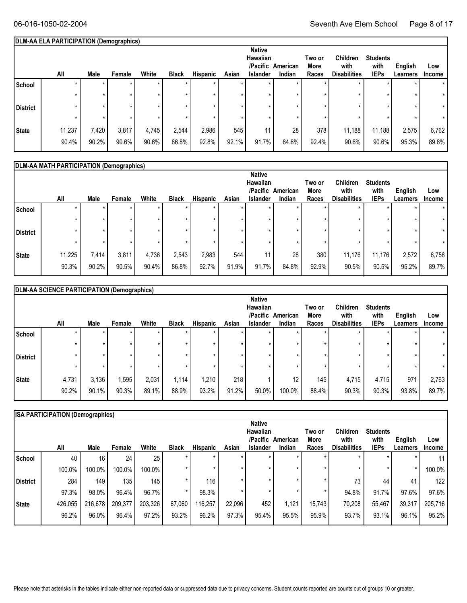#### **DLM-AA ELA PARTICIPATION (Demographics)**

|                 | All    | Male      | Female | White | <b>Black</b> | <b>Hispanic</b> | Asian | <b>Native</b><br>Hawaiian<br>/Pacific<br><b>Islander</b> | American<br>Indian | Two or<br><b>More</b><br>Races | <b>Children</b><br>with<br><b>Disabilities</b> | <b>Students</b><br>with<br><b>IEPs</b> | English<br>Learners | Low<br>Income |
|-----------------|--------|-----------|--------|-------|--------------|-----------------|-------|----------------------------------------------------------|--------------------|--------------------------------|------------------------------------------------|----------------------------------------|---------------------|---------------|
| School          |        |           |        |       |              | $\star$         |       |                                                          | $\star$            |                                | $\star$                                        |                                        |                     | $\star$       |
|                 |        |           |        |       |              |                 |       |                                                          |                    |                                |                                                |                                        |                     |               |
| <b>District</b> |        |           |        |       |              |                 |       |                                                          |                    |                                |                                                |                                        |                     | $\star$       |
|                 |        |           |        |       |              |                 |       |                                                          |                    |                                |                                                |                                        |                     |               |
| <b>State</b>    | 11,237 | $7,420$ , | 3,817  | 4,745 | 2,544        | 2,986           | 545   | 11                                                       | 28                 | 378                            | 11,188                                         | 11,188                                 | 2,575               | 6,762         |
|                 | 90.4%  | 90.2%     | 90.6%  | 90.6% | 86.8%        | 92.8%           | 92.1% | 91.7%                                                    | 84.8%              | 92.4%                          | 90.6%                                          | 90.6%                                  | 95.3%               | 89.8%         |

#### **Students with IEPs Two or More All Races English Learners Low** White Black Hispanic Asian Islander Indian Races Disabilities IEPs Learners Income  **DLM-AA MATH PARTICIPATION (Demographics) American /Pacific Indian Native Hawaiian Male Female White Black Hispanic Asian Islander School** \* \* \* \* \* \* \* \* \* \* \* \* \* \* \* \* \* \* \* \* \* \* \* \* \* **District**  $\begin{vmatrix} * & * & * & * \end{vmatrix}$   $\begin{vmatrix} * & * & * & * \end{vmatrix}$   $\begin{vmatrix} * & * & * & * \end{vmatrix}$   $\begin{vmatrix} * & * & * & * \end{vmatrix}$   $\begin{vmatrix} * & * & * & * \end{vmatrix}$ \* \* \* \* \* \* \* \* \* \* \* \* **State** | 11,225 7,414 3,811 4,736 2,543 2,983 544 11 28 380 11,176 11,176 2,572 6,756 90.2% 90.5% 90.4% 90.4% 86.8% 92.7% 91.9% 91.9% 91.7% 84.8% 92.9% 90.5% 90.5% 95.2% 89.7% \* 90.3% \* **Children with Disabilities** \* \* \* \* 11,176 90.5%

|                 | DLM-AA SCIENCE PARTICIPATION (Demographics) |       |        |         |              |                 |       |                                       |          |                |                         |                         |          |               |
|-----------------|---------------------------------------------|-------|--------|---------|--------------|-----------------|-------|---------------------------------------|----------|----------------|-------------------------|-------------------------|----------|---------------|
|                 |                                             |       |        |         |              |                 |       | <b>Native</b><br>Hawaiian<br>/Pacific | American | Two or<br>More | <b>Children</b><br>with | <b>Students</b><br>with | English  | Low           |
|                 | All                                         | Male  | Female | White   | <b>Black</b> | <b>Hispanic</b> | Asian | <b>Islander</b>                       | Indian   | Races          | <b>Disabilities</b>     | <b>IEPs</b>             | Learners | <b>Income</b> |
| School          |                                             |       | ÷      | $\star$ |              | $\star$         |       | $\star$                               |          |                | ÷                       | $\star$                 |          |               |
|                 |                                             |       | ÷      | $\star$ |              | $\star$         |       |                                       |          |                | $\star$                 | $\star$                 |          |               |
| <b>District</b> |                                             |       | ÷      | $\star$ |              | $\star$         |       |                                       |          |                |                         | $\star$                 |          |               |
|                 | $\star$                                     |       | ÷      | $\star$ |              | $\star$         |       |                                       |          |                |                         | $\star$                 |          |               |
| <b>State</b>    | 4,731                                       | 3,136 | 1,595  | 2,031   | 1,114        | 1,210           | 218   |                                       | 12       | 145            | 4,715                   | 4,715                   | 971      | 2,763         |
|                 | 90.2%                                       | 90.1% | 90.3%  | 89.1%   | 88.9%        | 93.2%           | 91.2% | 50.0%                                 | 100.0%   | 88.4%          | 90.3%                   | 90.3%                   | 93.8%    | 89.7%         |

|              | <b>ISA PARTICIPATION (Demographics)</b> |                 |         |         |              |                 |        |                 |          |        |                     |                 |          |               |
|--------------|-----------------------------------------|-----------------|---------|---------|--------------|-----------------|--------|-----------------|----------|--------|---------------------|-----------------|----------|---------------|
|              |                                         |                 |         |         |              |                 |        | <b>Native</b>   |          |        |                     |                 |          |               |
|              |                                         |                 |         |         |              |                 |        | Hawaiian        |          | Two or | Children            | <b>Students</b> |          |               |
|              |                                         |                 |         |         |              |                 |        | /Pacific        | American | More   | with                | with            | English  | Low           |
|              | All                                     | Male            | Female  | White   | <b>Black</b> | <b>Hispanic</b> | Asian  | <b>Islander</b> | Indian   | Races  | <b>Disabilities</b> | <b>IEPs</b>     | Learners | <b>Income</b> |
| School       | 40                                      | 16 <sub>1</sub> | 24      | 25      |              |                 |        |                 |          |        |                     |                 |          |               |
|              | 100.0%                                  | 100.0%          | 100.0%  | 100.0%  |              |                 |        |                 |          |        |                     | $\star$         |          | 100.0%        |
| District     | 284                                     | 149             | 135     | 145     |              | 116             |        |                 |          |        | 73                  | 44              | 41       | 122           |
|              | 97.3%                                   | 98.0%           | 96.4%   | 96.7%   |              | 98.3%           |        |                 |          |        | 94.8%               | 91.7%           | 97.6%    | 97.6%         |
| <b>State</b> | 426,055                                 | 216,678         | 209,377 | 203,326 | 67,060       | 116,257         | 22,096 | 452             | 1,121    | 15.743 | 70,208              | 55,467          | 39,317   | 205,716       |
|              | 96.2%                                   | 96.0%           | 96.4%   | 97.2%   | 93.2%        | 96.2%           | 97.3%  | 95.4%           | 95.5%    | 95.9%  | 93.7%               | 93.1%           | 96.1%    | 95.2%         |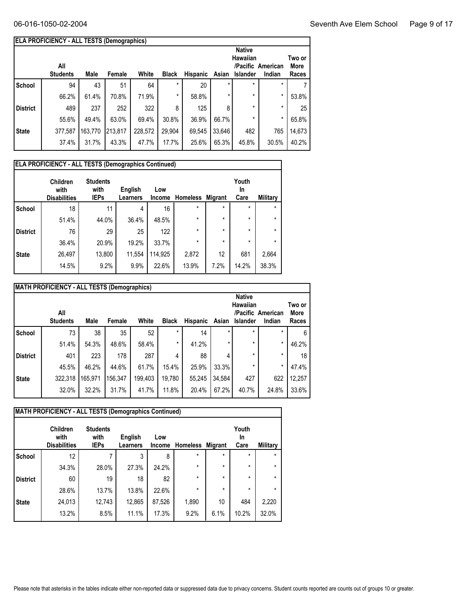|                 | <b>ELA PROFICIENCY - ALL TESTS (Demographics)</b> |         |         |         |              |                 |          |                                              |                             |                         |
|-----------------|---------------------------------------------------|---------|---------|---------|--------------|-----------------|----------|----------------------------------------------|-----------------------------|-------------------------|
|                 | All<br><b>Students</b>                            | Male    | Female  | White   | <b>Black</b> | <b>Hispanic</b> | Asian    | <b>Native</b><br>Hawaiian<br><b>Islander</b> | /Pacific American<br>Indian | Two or<br>More<br>Races |
| School          | 94                                                | 43      | 51      | 64      | $\star$      | 20              | $^\star$ | $\star$                                      | *                           |                         |
|                 | 66.2%                                             | 61.4%   | 70.8%   | 71.9%   | $\star$      | 58.8%           | $\star$  | $\star$                                      | $\star$                     | 53.8%                   |
| <b>District</b> | 489                                               | 237     | 252     | 322     | 8            | 125             | 8        | $\star$                                      | *                           | 25                      |
|                 | 55.6%                                             | 49.4%   | 63.0%   | 69.4%   | 30.8%        | 36.9%           | 66.7%    | $\star$                                      | $^\star$                    | 65.8%                   |
| <b>State</b>    | 377,587                                           | 163,770 | 213,817 | 228,572 | 29.904       | 69,545          | 33,646   | 482                                          | 765                         | 14,673                  |
|                 | 37.4%                                             | 31.7%   | 43.3%   | 47.7%   | 17.7%        | 25.6%           | 65.3%    | 45.8%                                        | 30.5%                       | 40.2%                   |

| <b>ELA PROFICIENCY - ALL TESTS (Demographics Continued)</b> |                                                |                                        |                            |                      |                 |                |                     |                 |  |  |  |
|-------------------------------------------------------------|------------------------------------------------|----------------------------------------|----------------------------|----------------------|-----------------|----------------|---------------------|-----------------|--|--|--|
|                                                             | <b>Children</b><br>with<br><b>Disabilities</b> | <b>Students</b><br>with<br><b>IEPs</b> | English<br><b>Learners</b> | Low<br><b>Income</b> | <b>Homeless</b> | <b>Migrant</b> | Youth<br>In<br>Care | <b>Military</b> |  |  |  |
| <b>School</b>                                               | 18                                             | 11                                     | 4                          | 16                   | $\star$         | $\star$        | $\star$             | $\star$         |  |  |  |
|                                                             | 51.4%                                          | 44.0%                                  | 36.4%                      | 48.5%                | $\star$         | $\star$        | $\star$             | $\star$         |  |  |  |
| <b>District</b>                                             | 76                                             | 29                                     | 25                         | 122                  | $\star$         | $\star$        | $\star$             | $\star$         |  |  |  |
|                                                             | 36.4%                                          | 20.9%                                  | 19.2%                      | 33.7%                | $\star$         | $\star$        | $\star$             | $\star$         |  |  |  |
| <b>State</b>                                                | 26,497                                         | 13,800                                 | 11,554                     | 114,925              | 2,872           | 12             | 681                 | 2,664           |  |  |  |
|                                                             | 14.5%                                          | 9.2%                                   | 9.9%                       | 22.6%                | 13.9%           | 7.2%           | 14.2%               | 38.3%           |  |  |  |

|                 | MATH PROFICIENCY - ALL TESTS (Demographics) |         |         |         |              |          |        |                                              |                             |                         |
|-----------------|---------------------------------------------|---------|---------|---------|--------------|----------|--------|----------------------------------------------|-----------------------------|-------------------------|
|                 | All<br><b>Students</b>                      | Male    | Female  | White   | <b>Black</b> | Hispanic | Asian  | <b>Native</b><br>Hawaiian<br><b>Islander</b> | /Pacific American<br>Indian | Two or<br>More<br>Races |
| School          | 73                                          | 38      | 35      | 52      | $\star$      | 14       |        | $\star$                                      | $\star$                     | 6                       |
|                 | 51.4%                                       | 54.3%   | 48.6%   | 58.4%   | $\star$      | 41.2%    |        | $\star$                                      | $^\star$                    | 46.2%                   |
| <b>District</b> | 401                                         | 223     | 178     | 287     | 4            | 88       |        | $\star$                                      | $\star$                     | 18                      |
|                 | 45.5%                                       | 46.2%   | 44.6%   | 61.7%   | 15.4%        | 25.9%    | 33.3%  | $\star$                                      | $^\star$                    | 47.4%                   |
| <b>State</b>    | 322,318                                     | 165,971 | 156,347 | 199,403 | 19,780       | 55,245   | 34,584 | 427                                          | 622                         | 12,257                  |
|                 | 32.0%                                       | 32.2%   | 31.7%   | 41.7%   | 11.8%        | 20.4%    | 67.2%  | 40.7%                                        | 24.8%                       | 33.6%                   |

| <b>MATH PROFICIENCY - ALL TESTS (Demographics Continued)</b> |                                                |                                        |                            |               |                 |                |                     |          |  |  |  |  |
|--------------------------------------------------------------|------------------------------------------------|----------------------------------------|----------------------------|---------------|-----------------|----------------|---------------------|----------|--|--|--|--|
|                                                              | <b>Children</b><br>with<br><b>Disabilities</b> | <b>Students</b><br>with<br><b>IEPs</b> | English<br><b>Learners</b> | Low<br>Income | <b>Homeless</b> | <b>Migrant</b> | Youth<br>In<br>Care | Military |  |  |  |  |
| <b>School</b>                                                | 12                                             | 7                                      | 3                          | 8             | $\star$         | $\star$        | $\star$             | $\star$  |  |  |  |  |
|                                                              | 34.3%                                          | 28.0%                                  | 27.3%                      | 24.2%         | $\star$         | $\star$        | $\star$             | $\star$  |  |  |  |  |
| <b>District</b>                                              | 60                                             | 19                                     | 18                         | 82            | $\star$         | $\star$        | $\star$             | $\star$  |  |  |  |  |
|                                                              | 28.6%                                          | 13.7%                                  | 13.8%                      | 22.6%         | $\star$         | $\star$        | $\star$             | $\star$  |  |  |  |  |
| <b>State</b>                                                 | 24,013                                         | 12,743                                 | 12,865                     | 87,526        | 1,890           | 10             | 484                 | 2,220    |  |  |  |  |
|                                                              | 13.2%                                          | 8.5%                                   | 11.1%                      | 17.3%         | 9.2%            | 6.1%           | 10.2%               | 32.0%    |  |  |  |  |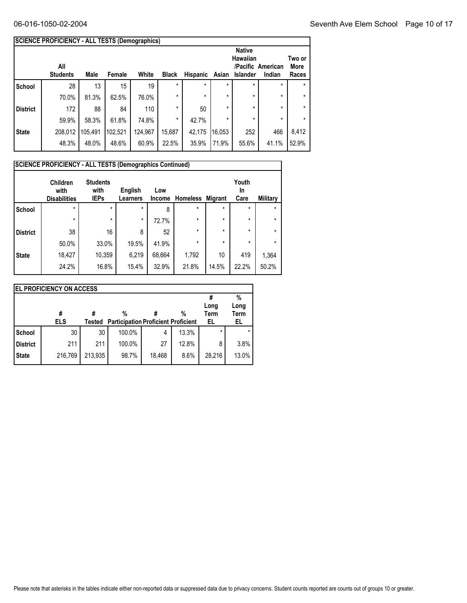|                 | <b>SCIENCE PROFICIENCY - ALL TESTS (Demographics)</b> |         |         |         |              |          |         |                                       |                             |                         |
|-----------------|-------------------------------------------------------|---------|---------|---------|--------------|----------|---------|---------------------------------------|-----------------------------|-------------------------|
|                 | All<br><b>Students</b>                                | Male    | Female  | White   | <b>Black</b> | Hispanic | Asian   | <b>Native</b><br>Hawaiian<br>Islander | /Pacific American<br>Indian | Two or<br>More<br>Races |
| <b>School</b>   | 28                                                    | 13      | 15      | 19      | $\star$      | $\star$  | $\star$ | $\star$                               | $\star$                     | ÷                       |
|                 | 70.0%                                                 | 81.3%   | 62.5%   | 76.0%   | $\star$      | $\star$  | *       | $\star$                               | $\star$                     | $\star$                 |
| <b>District</b> | 172                                                   | 88      | 84      | 110     | $\star$      | 50       | *       | $\star$                               | $\star$                     | $\star$                 |
|                 | 59.9%                                                 | 58.3%   | 61.8%   | 74.8%   | $\star$      | 42.7%    | *       | $\star$                               | $\star$                     | $\star$                 |
| <b>State</b>    | 208,012                                               | 105,491 | 102,521 | 124,967 | 15,687       | 42,175   | 16,053  | 252                                   | 466                         | 8,412                   |
|                 | 48.3%                                                 | 48.0%   | 48.6%   | 60.9%   | 22.5%        | 35.9%    | 71.9%   | 55.6%                                 | 41.1%                       | 52.9%                   |

|                 | SCIENCE PROFICIENCY - ALL TESTS (Demographics Continued)<br><b>Children</b> | <b>Students</b>     |                            |                      |                 |                | Youth      |          |
|-----------------|-----------------------------------------------------------------------------|---------------------|----------------------------|----------------------|-----------------|----------------|------------|----------|
|                 | with<br><b>Disabilities</b>                                                 | with<br><b>IEPs</b> | English<br><b>Learners</b> | Low<br><b>Income</b> | <b>Homeless</b> | <b>Migrant</b> | In<br>Care | Military |
| <b>School</b>   | $\star$                                                                     | $\star$             | $\star$                    | 8                    | $\star$         | $\star$        | $\star$    | $\star$  |
|                 | $\star$                                                                     | $\star$             | $\star$                    | 72.7%                | $\star$         | $\star$        | $\star$    | $\star$  |
| <b>District</b> | 38                                                                          | 16                  | 8                          | 52                   | $\star$         | $\star$        | $\star$    | $\star$  |
|                 | 50.0%                                                                       | 33.0%               | 19.5%                      | 41.9%                | $\star$         | $\star$        | $\star$    | $\star$  |
| <b>State</b>    | 18,427                                                                      | 10,359              | 6,219                      | 68,664               | 1,792           | 10             | 419        | 1,364    |
|                 | 24.2%                                                                       | 16.8%               | 15.4%                      | 32.9%                | 21.8%           | 14.5%          | 22.2%      | 50.2%    |

| <b>EL PROFICIENCY ON ACCESS</b> |                 |         |                                                 |        |       |            |                   |  |  |  |
|---------------------------------|-----------------|---------|-------------------------------------------------|--------|-------|------------|-------------------|--|--|--|
|                                 |                 |         |                                                 |        |       |            | %                 |  |  |  |
|                                 |                 |         |                                                 |        |       | Long       | Long              |  |  |  |
|                                 | #<br><b>ELS</b> | Tested  | %<br><b>Participation Proficient Proficient</b> |        | %     | Term<br>EL | <b>Term</b><br>EL |  |  |  |
|                                 |                 |         |                                                 |        |       |            |                   |  |  |  |
| School                          | 30              | 30      | 100.0%                                          | 4      | 13.3% | $\star$    |                   |  |  |  |
| <b>District</b>                 | 211             | 211     | 100.0%                                          | 27     | 12.8% | 8          | 3.8%              |  |  |  |
| <b>State</b>                    | 216,769         | 213,935 | 98.7%                                           | 18,468 | 8.6%  | 28,216     | 13.0%             |  |  |  |
|                                 |                 |         |                                                 |        |       |            |                   |  |  |  |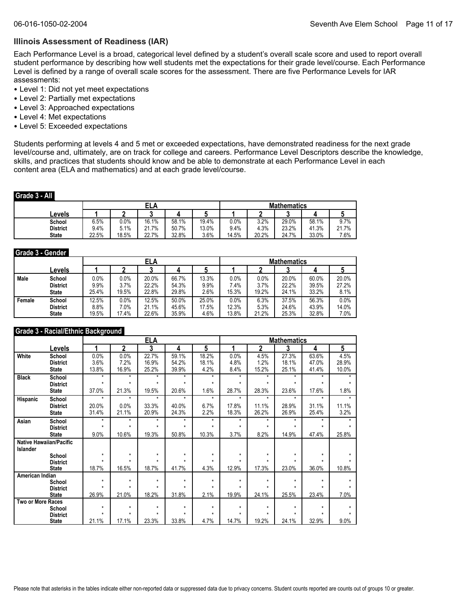#### **Illinois Assessment of Readiness (IAR)**

Each Performance Level is a broad, categorical level defined by a student's overall scale score and used to report overall student performance by describing how well students met the expectations for their grade level/course. Each Performance Level is defined by a range of overall scale scores for the assessment. There are five Performance Levels for IAR assessments:

- Level 1: Did not yet meet expectations
- Level 2: Partially met expectations
- Level 3: Approached expectations
- Level 4: Met expectations
- Level 5: Exceeded expectations

Students performing at levels 4 and 5 met or exceeded expectations, have demonstrated readiness for the next grade level/course and, ultimately, are on track for college and careers. Performance Level Descriptors describe the knowledge, skills, and practices that students should know and be able to demonstrate at each Performance Level in each content area (ELA and mathematics) and at each grade level/course.

#### **Grade 3 - All**

| _______         |       |       |       |       |       |                    |       |       |       |       |  |
|-----------------|-------|-------|-------|-------|-------|--------------------|-------|-------|-------|-------|--|
|                 |       |       | ELA   |       |       | <b>Mathematics</b> |       |       |       |       |  |
| Levels          |       |       |       |       | N     |                    |       | u     |       |       |  |
| School          | 6.5%  | 0.0%  | 16.1% | 58.1% | 19.4% | 0.0%               | 3.2%  | 29.0% | 58.1% | 9.7%  |  |
| <b>District</b> | 9.4%  | 5.1%  | 21.7% | 50.7% | 13.0% | 9.4%               | 4.3%  | 23.2% | 41.3% | 21.7% |  |
| <b>State</b>    | 22.5% | 18.5% | 22.7% | 32.8% | 3.6%  | 14.5%              | 20.2% | 24.7% | 33.0% | 7.6%  |  |

### **Grade 3 - Gender**

|        |                 |       |         | ELA   |       |       | <b>Mathematics</b> |       |       |       |       |  |
|--------|-----------------|-------|---------|-------|-------|-------|--------------------|-------|-------|-------|-------|--|
|        | ∟evels          |       |         |       |       |       |                    |       |       |       |       |  |
| Male   | School          | 0.0%  | $0.0\%$ | 20.0% | 66.7% | 13.3% | 0.0%               | 0.0%  | 20.0% | 60.0% | 20.0% |  |
|        | <b>District</b> | 9.9%  | 3.7%    | 22.2% | 54.3% | 9.9%  | 7.4%               | 3.7%  | 22.2% | 39.5% | 27.2% |  |
|        | <b>State</b>    | 25.4% | 19.5%   | 22.8% | 29.8% | 2.6%  | 15.3%              | 19.2% | 24.1% | 33.2% | 8.1%  |  |
| Female | School          | 12.5% | 0.0%    | 12.5% | 50.0% | 25.0% | 0.0%               | 6.3%  | 37.5% | 56.3% | 0.0%  |  |
|        | <b>District</b> | 8.8%  | 7.0%    | 21.1% | 45.6% | 17.5% | 12.3%              | 5.3%  | 24.6% | 43.9% | 14.0% |  |
|        | <b>State</b>    | 19.5% | 17.4%   | 22.6% | 35.9% | 4.6%  | 13.8%              | 21.2% | 25.3% | 32.8% | 7.0%  |  |

#### **Grade 3 - Racial/Ethnic Background**

|                          |                                |              |                    | <b>ELA</b> |              |              |              |                | <b>Mathematics</b> |              |         |
|--------------------------|--------------------------------|--------------|--------------------|------------|--------------|--------------|--------------|----------------|--------------------|--------------|---------|
|                          | Levels                         | 1            | $\mathbf{2}$       | 3          | 4            | 5            | 4            | $\overline{2}$ | 3                  | 4            | 5       |
| White                    | School                         | 0.0%         | 0.0%               | 22.7%      | 59.1%        | 18.2%        | 0.0%         | 4.5%           | 27.3%              | 63.6%        | 4.5%    |
|                          | <b>District</b>                | 3.6%         | 7.2%               | 16.9%      | 54.2%        | 18.1%        | 4.8%         | 1.2%           | 18.1%              | 47.0%        | 28.9%   |
|                          | <b>State</b>                   | 13.8%        | 16.9%              | 25.2%      | 39.9%        | 4.2%         | 8.4%         | 15.2%          | 25.1%              | 41.4%        | 10.0%   |
| <b>Black</b>             | School                         | $\star$      | $\star$            | $\star$    | $\star$      | $\star$      | $\star$      | $\star$        | $\star$            | $\star$      | $\star$ |
|                          | <b>District</b>                | $\star$      | $\star$            | $\star$    | $\star$      | $\star$      | $\star$      | $\star$        | $\star$            | $\star$      |         |
|                          | <b>State</b>                   | 37.0%        | 21.3%              | 19.5%      | 20.6%        | 1.6%         | 28.7%        | 28.3%          | 23.6%              | 17.6%        | 1.8%    |
| Hispanic                 | School                         | $\star$      | $\star$            | $\star$    | $\star$      | $\star$      | $\star$      | $\star$        | $\star$            | $\star$      | $\star$ |
|                          | <b>District</b>                | 20.0%        | 0.0%               | 33.3%      | 40.0%        | 6.7%         | 17.8%        | 11.1%          | 28.9%              | 31.1%        | 11.1%   |
|                          | <b>State</b>                   | 31.4%        | 21.1%              | 20.9%      | 24.3%        | 2.2%         | 18.3%        | 26.2%          | 26.9%              | 25.4%        | 3.2%    |
| Asian                    | School                         | $\star$      | $\star$            | $\star$    | $\star$      | $\star$      | $\star$      | $\star$        | $\star$            | $\star$      |         |
|                          | <b>District</b>                | $\star$      | $\star$            | $\star$    | $\star$      | $\star$      | $\star$      | $\star$        | $\star$            | $\star$      |         |
|                          | <b>State</b>                   | 9.0%         | 10.6%              | 19.3%      | 50.8%        | 10.3%        | 3.7%         | 8.2%           | 14.9%              | 47.4%        | 25.8%   |
|                          | <b>Native Hawaiian/Pacific</b> |              |                    |            |              |              |              |                |                    |              |         |
| Islander                 |                                |              |                    |            |              |              |              |                |                    |              |         |
|                          | School                         | $\star$<br>٠ | $\star$<br>$\star$ | $\star$    | $\star$<br>÷ | $\star$<br>٠ | $\star$<br>٠ | $\star$<br>÷   | $\star$<br>٠       | $\star$<br>÷ |         |
|                          | <b>District</b>                |              |                    |            |              |              |              |                |                    |              |         |
|                          | <b>State</b>                   | 18.7%        | 16.5%              | 18.7%      | 41.7%        | 4.3%         | 12.9%        | 17.3%          | 23.0%              | 36.0%        | 10.8%   |
| American Indian          |                                | $\star$      | $\star$            | $\star$    | $\star$      | $\star$      | $\star$      | $\star$        | $\star$            | $\star$      |         |
|                          | School<br><b>District</b>      |              | $\star$            |            | ÷            |              | ÷            |                | ÷                  |              |         |
|                          | <b>State</b>                   | 26.9%        | 21.0%              | 18.2%      | 31.8%        | 2.1%         | 19.9%        | 24.1%          | 25.5%              | 23.4%        | 7.0%    |
| <b>Two or More Races</b> |                                |              |                    |            |              |              |              |                |                    |              |         |
|                          | School                         | $\star$      | $\star$            | $\star$    | $\star$      | $\star$      | $\star$      | $\star$        | $\star$            | $\star$      |         |
|                          | <b>District</b>                | $\star$      | $\star$            | $\star$    | $\star$      |              | ÷            | ÷              | ż                  | $\star$      |         |
|                          | <b>State</b>                   | 21.1%        | 17.1%              | 23.3%      | 33.8%        | 4.7%         | 14.7%        | 19.2%          | 24.1%              | 32.9%        | 9.0%    |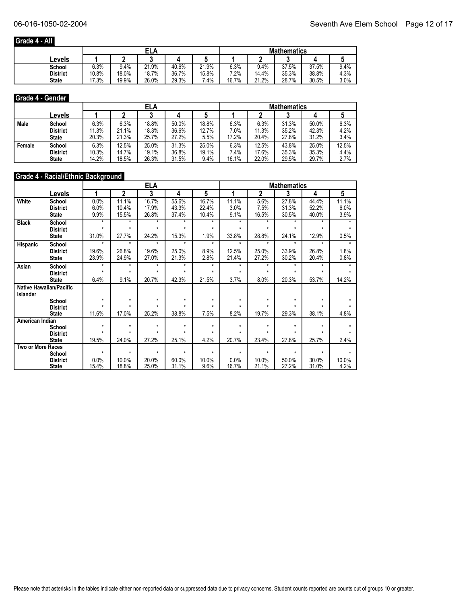## **Grade 4 - All**

|                 |       |       | ELA   |       |        | <b>Mathematics</b> |       |       |       |      |  |
|-----------------|-------|-------|-------|-------|--------|--------------------|-------|-------|-------|------|--|
| Levels          |       |       |       |       |        |                    |       | ◠     |       |      |  |
| School          | 6.3%  | 9.4%  | 21.9% | 40.6% | 21.9%  | 6.3%               | 9.4%  | 37.5% | 37.5% | 9.4% |  |
| <b>District</b> | 10.8% | 18.0% | 18.7% | 36.7% | 15.8%  | 7.2%               | 14.4% | 35.3% | 38.8% | 4.3% |  |
| <b>State</b>    | 17.3% | 19.9% | 26.0% | 29.3% | $.4\%$ | 16.7%              | 21.2% | 28.7% | 30.5% | 3.0% |  |

#### **Grade 4 - Gender**

|        |                 |       | ELA   |       |       |       |       | <b>Mathematics</b> |       |       |       |  |  |
|--------|-----------------|-------|-------|-------|-------|-------|-------|--------------------|-------|-------|-------|--|--|
|        | Levels          |       |       |       |       |       |       |                    |       |       |       |  |  |
| Male   | School          | 6.3%  | 6.3%  | 18.8% | 50.0% | 18.8% | 6.3%  | 6.3%               | 31.3% | 50.0% | 6.3%  |  |  |
|        | <b>District</b> | 11.3% | 21.1% | 18.3% | 36.6% | 12.7% | 7.0%  | 11.3%              | 35.2% | 42.3% | 4.2%  |  |  |
|        | <b>State</b>    | 20.3% | 21.3% | 25.7% | 27.2% | 5.5%  | 17.2% | 20.4%              | 27.8% | 31.2% | 3.4%  |  |  |
| Female | School          | 6.3%  | 12.5% | 25.0% | 31.3% | 25.0% | 6.3%  | 12.5%              | 43.8% | 25.0% | 12.5% |  |  |
|        | <b>District</b> | 10.3% | 14.7% | 19.1% | 36.8% | 19.1% | 7.4%  | 17.6%              | 35.3% | 35.3% | 4.4%  |  |  |
|        | <b>State</b>    | 14.2% | 18.5% | 26.3% | 31.5% | 9.4%  | 16.1% | 22.0%              | 29.5% | 29.7% | 2.7%  |  |  |

#### **Grade 4 - Racial/Ethnic Background**

|                   |                                | <b>ELA</b> |                         |         |         |              | <b>Mathematics</b> |         |              |         |         |  |
|-------------------|--------------------------------|------------|-------------------------|---------|---------|--------------|--------------------|---------|--------------|---------|---------|--|
|                   | Levels                         |            | $\overline{\mathbf{2}}$ | 3       | 4       | 5            |                    | 2       | 3            | 4       | 5       |  |
| White             | School                         | 0.0%       | 11.1%                   | 16.7%   | 55.6%   | 16.7%        | 11.1%              | 5.6%    | 27.8%        | 44.4%   | 11.1%   |  |
|                   | <b>District</b>                | 6.0%       | 10.4%                   | 17.9%   | 43.3%   | 22.4%        | 3.0%               | 7.5%    | 31.3%        | 52.2%   | 6.0%    |  |
|                   | <b>State</b>                   | 9.9%       | 15.5%                   | 26.8%   | 37.4%   | 10.4%        | 9.1%               | 16.5%   | 30.5%        | 40.0%   | 3.9%    |  |
| <b>Black</b>      | School                         | $\star$    | $\star$                 | $\star$ | $\star$ | $\star$      | $\star$            | $\star$ | $\star$      | *       |         |  |
|                   | <b>District</b>                | $\star$    | $\star$                 | $\star$ | ÷       | $\star$      | $\star$            | ÷       | $\star$      | ÷       |         |  |
|                   | <b>State</b>                   | 31.0%      | 27.7%                   | 24.2%   | 15.3%   | 1.9%         | 33.8%              | 28.8%   | 24.1%        | 12.9%   | 0.5%    |  |
| Hispanic          | School                         | $\star$    | $\star$                 | $\star$ | $\star$ | $\star$      | $\star$            | $\star$ | $\star$      | $\star$ | $\star$ |  |
|                   | <b>District</b>                | 19.6%      | 26.8%                   | 19.6%   | 25.0%   | 8.9%         | 12.5%              | 25.0%   | 33.9%        | 26.8%   | 1.8%    |  |
|                   | <b>State</b>                   | 23.9%      | 24.9%                   | 27.0%   | 21.3%   | 2.8%         | 21.4%              | 27.2%   | 30.2%        | 20.4%   | 0.8%    |  |
| Asian             | School                         | $\star$    | $\star$                 | $\star$ | $\star$ | $\star$      | $\star$            | $\star$ | $\star$      | $\star$ |         |  |
|                   | <b>District</b>                | $\star$    | $\star$                 | $\star$ | $\star$ | $\star$      | $\star$            | ÷       | $\star$      | ÷       |         |  |
|                   | <b>State</b>                   | 6.4%       | 9.1%                    | 20.7%   | 42.3%   | 21.5%        | 3.7%               | 8.0%    | 20.3%        | 53.7%   | 14.2%   |  |
|                   | <b>Native Hawaiian/Pacific</b> |            |                         |         |         |              |                    |         |              |         |         |  |
| Islander          |                                |            |                         |         |         |              |                    |         |              |         |         |  |
|                   | School                         | $\star$    | $\star$<br>$\star$      | $\star$ | $\star$ | $\star$<br>÷ | $\star$            | $\star$ | $\star$<br>÷ | $\star$ |         |  |
|                   | <b>District</b>                |            |                         |         |         |              |                    |         |              |         |         |  |
|                   | <b>State</b>                   | 11.6%      | 17.0%                   | 25.2%   | 38.8%   | 7.5%         | 8.2%               | 19.7%   | 29.3%        | 38.1%   | 4.8%    |  |
| American Indian   | School                         | $\star$    | $\star$                 | $\star$ | $\star$ | $\star$      | $\star$            | $\star$ | $\star$      | ÷       |         |  |
|                   | <b>District</b>                | ٠          |                         | ٠       | ٠       | $\star$      |                    | ٠       | ٠            |         |         |  |
|                   | <b>State</b>                   | 19.5%      | 24.0%                   | 27.2%   | 25.1%   | 4.2%         | 20.7%              | 23.4%   | 27.8%        | 25.7%   | 2.4%    |  |
| Two or More Races |                                |            |                         |         |         |              |                    |         |              |         |         |  |
|                   | School                         | $\star$    | $\star$                 | $\star$ | $\star$ | $\star$      | $\star$            | ÷       | $\star$      | $\star$ |         |  |
|                   | <b>District</b>                | 0.0%       | 10.0%                   | 20.0%   | 60.0%   | 10.0%        | 0.0%               | 10.0%   | 50.0%        | 30.0%   | 10.0%   |  |
|                   | <b>State</b>                   | 15.4%      | 18.8%                   | 25.0%   | 31.1%   | 9.6%         | 16.7%              | 21.1%   | 27.2%        | 31.0%   | 4.2%    |  |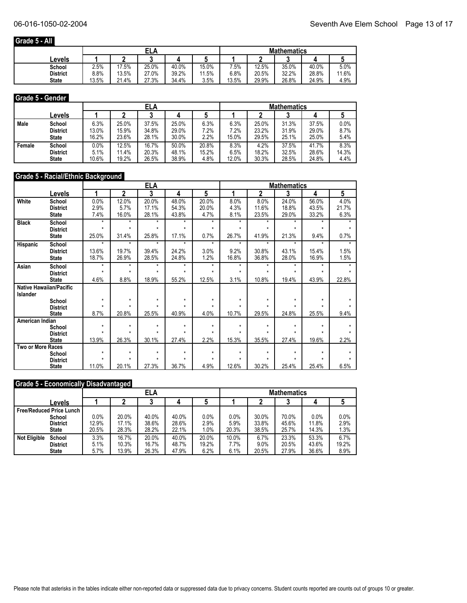## **Grade 5 - All**

|              |       |       | ELA   |       |       | <b>Mathematics</b> |       |       |       |       |
|--------------|-------|-------|-------|-------|-------|--------------------|-------|-------|-------|-------|
| Levels       |       |       | ◠     |       |       |                    |       |       |       |       |
| School       | 2.5%  | 7.5%  | 25.0% | 40.0% | 15.0% | $.5\%$             | 12.5% | 35.0% | 40.0% | 5.0%  |
| District     | 8.8%  | 13.5% | 27.0% | 39.2% | 11.5% | 6.8%               | 20.5% | 32.2% | 28.8% | 11.6% |
| <b>State</b> | 13.5% | 21.4% | 27.3% | 34.4% | 3.5%  | 13.5%              | 29.9% | 26.8% | 24.9% | 4.9%  |

#### **Grade 5 - Gender**

|        |                 |       | <b>ELA</b> |       |       |       | <b>Mathematics</b> |       |       |       |         |  |
|--------|-----------------|-------|------------|-------|-------|-------|--------------------|-------|-------|-------|---------|--|
|        | Levels          |       |            |       |       |       |                    |       |       |       |         |  |
| Male   | School          | 6.3%  | 25.0%      | 37.5% | 25.0% | 6.3%  | 6.3%               | 25.0% | 31.3% | 37.5% | 0.0%    |  |
|        | <b>District</b> | 13.0% | 15.9%      | 34.8% | 29.0% | 7.2%  | 7.2%               | 23.2% | 31.9% | 29.0% | $8.7\%$ |  |
|        | <b>State</b>    | 16.2% | 23.6%      | 28.1% | 30.0% | 2.2%  | 15.0%              | 29.5% | 25.1% | 25.0% | 5.4%    |  |
| Female | School          | 0.0%  | 12.5%      | 16.7% | 50.0% | 20.8% | 8.3%               | 4.2%  | 37.5% | 41.7% | 8.3%    |  |
|        | <b>District</b> | 5.1%  | 11.4%      | 20.3% | 48.1% | 15.2% | 6.5%               | 18.2% | 32.5% | 28.6% | 14.3%   |  |
|        | <b>State</b>    | 10.6% | 19.2%      | 26.5% | 38.9% | 4.8%  | 12.0%              | 30.3% | 28.5% | 24.8% | 4.4%    |  |

#### **Grade 5 - Racial/Ethnic Background**

|                          |                                |                    |                    | <u>ELA</u> | <b>Mathematics</b> |         |         |         |         |         |         |
|--------------------------|--------------------------------|--------------------|--------------------|------------|--------------------|---------|---------|---------|---------|---------|---------|
|                          | Levels                         |                    | $\mathbf 2$        | 3          | 4                  | 5       |         | 2       | 3       | 4       | 5       |
| White                    | School                         | 0.0%               | 12.0%              | 20.0%      | 48.0%              | 20.0%   | 8.0%    | 8.0%    | 24.0%   | 56.0%   | 4.0%    |
|                          | <b>District</b>                | 2.9%               | 5.7%               | 17.1%      | 54.3%              | 20.0%   | 4.3%    | 11.6%   | 18.8%   | 43.5%   | 21.7%   |
|                          | <b>State</b>                   | 7.4%               | 16.0%              | 28.1%      | 43.8%              | 4.7%    | 8.1%    | 23.5%   | 29.0%   | 33.2%   | 6.3%    |
| <b>Black</b>             | School                         | $\star$            | $\star$            | $\star$    | $\star$            | $\star$ | $\star$ | $\star$ | $\star$ | $\star$ |         |
|                          | <b>District</b>                | $\star$            | $\star$            | $\star$    | $\star$            | $\star$ | $\star$ | $\star$ | $\star$ | $\star$ |         |
|                          | <b>State</b>                   | 25.0%              | 31.4%              | 25.8%      | 17.1%              | 0.7%    | 26.7%   | 41.9%   | 21.3%   | 9.4%    | 0.7%    |
| Hispanic                 | School                         | $\star$            | $\star$            | $\star$    | $\star$            | $\star$ | $\star$ | $\star$ | ÷.      | $\star$ | $\star$ |
|                          | <b>District</b>                | 13.6%              | 19.7%              | 39.4%      | 24.2%              | 3.0%    | 9.2%    | 30.8%   | 43.1%   | 15.4%   | 1.5%    |
|                          | <b>State</b>                   | 18.7%              | 26.9%              | 28.5%      | 24.8%              | 1.2%    | 16.8%   | 36.8%   | 28.0%   | 16.9%   | 1.5%    |
| Asian                    | School                         | $\star$            | $\star$            | $\star$    | $\star$            | $\star$ | $\star$ | $\star$ | $\star$ | $\star$ |         |
|                          | <b>District</b>                | $\star$            | $\star$            | $\star$    | $\star$            | $\star$ | ÷       | ÷       | ÷       | ÷       |         |
|                          | <b>State</b>                   | 4.6%               | 8.8%               | 18.9%      | 55.2%              | 12.5%   | 3.1%    | 10.8%   | 19.4%   | 43.9%   | 22.8%   |
|                          | <b>Native Hawaiian/Pacific</b> |                    |                    |            |                    |         |         |         |         |         |         |
| <b>Islander</b>          |                                |                    |                    |            |                    |         |         |         |         |         |         |
|                          | School                         | $\star$<br>$\star$ | $\star$<br>$\star$ | $\star$    | $\star$            | $\star$ | $\star$ | $\star$ | $\star$ | ÷       |         |
|                          | <b>District</b>                |                    |                    |            |                    |         |         |         |         |         |         |
|                          | <b>State</b>                   | 8.7%               | 20.8%              | 25.5%      | 40.9%              | 4.0%    | 10.7%   | 29.5%   | 24.8%   | 25.5%   | 9.4%    |
| American Indian          |                                | $\star$            | $\star$            | $\star$    | $\star$            | $\star$ | $\star$ | $\star$ | $\star$ | $\star$ |         |
|                          | School<br><b>District</b>      | $\star$            | $\star$            | $\star$    | ÷                  | $\star$ | ÷       | ÷       | ÷       |         |         |
|                          | <b>State</b>                   | 13.9%              | 26.3%              | 30.1%      | 27.4%              | 2.2%    | 15.3%   | 35.5%   | 27.4%   | 19.6%   | 2.2%    |
| <b>Two or More Races</b> |                                |                    |                    |            |                    |         |         |         |         |         |         |
|                          | School                         | $\star$            | $\star$            | $\star$    | $\star$            | $\star$ | $\star$ | $\star$ | $\star$ | ÷       |         |
|                          | <b>District</b>                | $\star$            | $\star$            | $\star$    | ÷                  | ÷       | ÷       | ÷       | ÷       |         |         |
|                          | <b>State</b>                   | 11.0%              | 20.1%              | 27.3%      | 36.7%              | 4.9%    | 12.6%   | 30.2%   | 25.4%   | 25.4%   | 6.5%    |

#### **Grade 5 - Economically Disadvantaged**

|                                   |                 |       | <b>ELA</b> |       |       |       | <b>Mathematics</b> |       |       |       |       |  |
|-----------------------------------|-----------------|-------|------------|-------|-------|-------|--------------------|-------|-------|-------|-------|--|
|                                   | Levels          |       |            |       |       |       |                    |       |       | д     | J     |  |
| <b>Free/Reduced Price Lunch  </b> |                 |       |            |       |       |       |                    |       |       |       |       |  |
|                                   | School          | 0.0%  | 20.0%      | 40.0% | 40.0% | 0.0%  | 0.0%               | 30.0% | 70.0% | 0.0%  | 0.0%  |  |
|                                   | <b>District</b> | 12.9% | 17.1%      | 38.6% | 28.6% | 2.9%  | 5.9%               | 33.8% | 45.6% | 11.8% | 2.9%  |  |
|                                   | <b>State</b>    | 20.5% | 28.3%      | 28.2% | 22.1% | 1.0%  | 20.3%              | 38.5% | 25.7% | 14.3% | 1.3%  |  |
| <b>Not Eligible</b>               | School          | 3.3%  | 16.7%      | 20.0% | 40.0% | 20.0% | 10.0%              | 6.7%  | 23.3% | 53.3% | 6.7%  |  |
|                                   | <b>District</b> | 5.1%  | 10.3%      | 16.7% | 48.7% | 19.2% | 7.7%               | 9.0%  | 20.5% | 43.6% | 19.2% |  |
|                                   | <b>State</b>    | 5.7%  | 13.9%      | 26.3% | 47.9% | 6.2%  | 6.1%               | 20.5% | 27.9% | 36.6% | 8.9%  |  |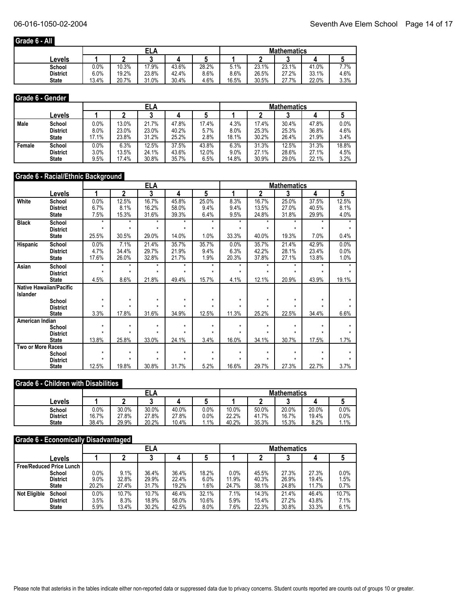## **Grade 6 - All**

|                 |         |       | ELA   |       |       |       |       |       | <b>Mathematics</b> |      |  |  |  |  |
|-----------------|---------|-------|-------|-------|-------|-------|-------|-------|--------------------|------|--|--|--|--|
| ∟evels          |         |       |       |       |       |       |       |       |                    |      |  |  |  |  |
| School          | $0.0\%$ | 10.3% | 17.9% | 43.6% | 28.2% | 5.1%  | 23.1% | 23.1% | 41.0%              | 7.7% |  |  |  |  |
| <b>District</b> | 6.0%    | 19.2% | 23.8% | 42.4% | 8.6%  | 8.6%  | 26.5% | 27.2% | 33.1%              | 4.6% |  |  |  |  |
| <b>State</b>    | 13.4%   | 20.7% | 31.0% | 30.4% | 4.6%  | 16.5% | 30.5% | 27.7% | 22.0%              | 3.3% |  |  |  |  |

#### **Grade 6 - Gender**

|        |                 |       | ELA   |       |       |       |         | <b>Mathematics</b> |       |       |         |  |  |
|--------|-----------------|-------|-------|-------|-------|-------|---------|--------------------|-------|-------|---------|--|--|
|        | Levels          |       |       |       |       |       |         |                    |       |       |         |  |  |
| Male   | School          | 0.0%  | 13.0% | 21.7% | 47.8% | 17.4% | 4.3%    | 17.4%              | 30.4% | 47.8% | $0.0\%$ |  |  |
|        | <b>District</b> | 8.0%  | 23.0% | 23.0% | 40.2% | 5.7%  | $8.0\%$ | 25.3%              | 25.3% | 36.8% | 4.6%    |  |  |
|        | <b>State</b>    | 17.1% | 23.8% | 31.2% | 25.2% | 2.8%  | 18.1%   | 30.2%              | 26.4% | 21.9% | 3.4%    |  |  |
| Female | School          | 0.0%  | 6.3%  | 12.5% | 37.5% | 43.8% | 6.3%    | 31.3%              | 12.5% | 31.3% | 18.8%   |  |  |
|        | <b>District</b> | 3.0%  | 13.5% | 24.1% | 43.6% | 12.0% | 9.0%    | 27.1%              | 28.6% | 27.1% | 4.5%    |  |  |
|        | <b>State</b>    | 9.5%  | 17.4% | 30.8% | 35.7% | 6.5%  | 14.8%   | 30.9%              | 29.0% | 22.1% | 3.2%    |  |  |

#### **Grade 6 - Racial/Ethnic Background**

|                   |                                |              | <b>ELA</b>              |                    |              |              |              | <b>Mathematics</b> |              |         |       |  |  |
|-------------------|--------------------------------|--------------|-------------------------|--------------------|--------------|--------------|--------------|--------------------|--------------|---------|-------|--|--|
|                   | Levels                         | 1            | $\overline{\mathbf{2}}$ | 3                  | 4            | 5            |              | 2                  | 3            | 4       | 5     |  |  |
| White             | School                         | 0.0%         | 12.5%                   | 16.7%              | 45.8%        | 25.0%        | 8.3%         | 16.7%              | 25.0%        | 37.5%   | 12.5% |  |  |
|                   | <b>District</b>                | 6.7%         | 8.1%                    | 16.2%              | 58.0%        | 9.4%         | 9.4%         | 13.5%              | 27.0%        | 40.5%   | 8.1%  |  |  |
|                   | <b>State</b>                   | 7.5%         | 15.3%                   | 31.6%              | 39.3%        | 6.4%         | 9.5%         | 24.8%              | 31.8%        | 29.9%   | 4.0%  |  |  |
| <b>Black</b>      | School                         | $\star$      | $\star$                 | $\star$            | $\star$      | $\star$      | $\star$      | $\star$            | $\star$      | $\star$ |       |  |  |
|                   | <b>District</b>                | $\star$      | $\star$                 | $\star$            | ÷            | $\star$      | $\star$      | $\star$            | $\star$      | $\star$ |       |  |  |
|                   | <b>State</b>                   | 25.5%        | 30.5%                   | 29.0%              | 14.0%        | 1.0%         | 33.3%        | 40.0%              | 19.3%        | 7.0%    | 0.4%  |  |  |
| Hispanic          | School                         | 0.0%         | 7.1%                    | 21.4%              | 35.7%        | 35.7%        | 0.0%         | 35.7%              | 21.4%        | 42.9%   | 0.0%  |  |  |
|                   | <b>District</b>                | 4.7%         | 34.4%                   | 29.7%              | 21.9%        | 9.4%         | 6.3%         | 42.2%              | 28.1%        | 23.4%   | 0.0%  |  |  |
|                   | <b>State</b>                   | 17.6%        | 26.0%                   | 32.8%              | 21.7%        | 1.9%         | 20.3%        | 37.8%              | 27.1%        | 13.8%   | 1.0%  |  |  |
| Asian             | School                         | $\star$      | $\star$                 | $\star$            | $\star$      | $\star$      | $\star$      | $\star$            | $\star$      | $\star$ |       |  |  |
|                   | <b>District</b>                | $\star$      | $\star$                 | $\star$            | ÷            | $\star$      | $\star$      | ÷                  | $\star$      | ÷       |       |  |  |
|                   | <b>State</b>                   | 4.5%         | 8.6%                    | 21.8%              | 49.4%        | 15.7%        | 4.1%         | 12.1%              | 20.9%        | 43.9%   | 19.1% |  |  |
|                   | <b>Native Hawaiian/Pacific</b> |              |                         |                    |              |              |              |                    |              |         |       |  |  |
| Islander          |                                |              |                         |                    |              |              |              |                    |              |         |       |  |  |
|                   | School                         | $\star$<br>٠ | $\star$<br>$\star$      | $\star$<br>$\star$ | $\star$<br>٠ | $\star$<br>٠ | $\star$<br>٠ | $\star$<br>٠       | $\star$<br>÷ | $\star$ |       |  |  |
|                   | <b>District</b>                |              |                         |                    |              |              |              |                    |              |         |       |  |  |
|                   | <b>State</b>                   | 3.3%         | 17.8%                   | 31.6%              | 34.9%        | 12.5%        | 11.3%        | 25.2%              | 22.5%        | 34.4%   | 6.6%  |  |  |
| American Indian   |                                | $\star$      | $\star$                 | $\star$            | $\star$      | $\star$      | $\star$      | $\star$            | $\star$      | ÷       |       |  |  |
|                   | School<br><b>District</b>      |              | $\star$                 |                    | ÷            | ÷            |              | $\star$            | ÷            | ÷       |       |  |  |
|                   | <b>State</b>                   | 13.8%        | 25.8%                   | 33.0%              | 24.1%        | 3.4%         | 16.0%        | 34.1%              | 30.7%        | 17.5%   | 1.7%  |  |  |
| Two or More Races |                                |              |                         |                    |              |              |              |                    |              |         |       |  |  |
|                   | School                         | $\star$      | $\star$                 | $\star$            | $\star$      | $\star$      | $\star$      | $\star$            | $\star$      | $\star$ |       |  |  |
|                   | <b>District</b>                | ٠            | $\star$                 | $\star$            | $\star$      | $\star$      | ٠            | $\star$            | $\star$      | $\star$ |       |  |  |
|                   | <b>State</b>                   | 12.5%        | 19.8%                   | 30.8%              | 31.7%        | 5.2%         | 16.6%        | 29.7%              | 27.3%        | 22.7%   | 3.7%  |  |  |

## **Grade 6 - Children with Disabilities**

|                 |       | ELA   |       |       |         | <b>Mathematics</b> |       |       |       |      |  |
|-----------------|-------|-------|-------|-------|---------|--------------------|-------|-------|-------|------|--|
| Levels          |       |       |       |       |         |                    |       |       |       |      |  |
| School          | 0.0%  | 30.0% | 30.0% | 40.0% | 0.0%    | 10.0%              | 50.0% | 20.0% | 20.0% | 0.0% |  |
| <b>District</b> | 16.7% | 27.8% | 27.8% | 27.8% | 0.0%    | 22.2%              | 41.7% | 16.7% | 19.4% | 0.0% |  |
| <b>State</b>    | 38.4% | 29.9% | 20.2% | 10.4% | $1.1\%$ | 40.2%              | 35.3% | 15.3% | 8.2%  | 1.1% |  |

#### **Grade 6 - Economically Disadvantaged**

|                                 |                 |         | <b>ELA</b> |       |       |       | <b>Mathematics</b> |       |       |       |       |  |
|---------------------------------|-----------------|---------|------------|-------|-------|-------|--------------------|-------|-------|-------|-------|--|
|                                 | Levels          |         | C<br>w     |       |       |       |                    |       | ≏     |       |       |  |
| <b>Free/Reduced Price Lunch</b> |                 |         |            |       |       |       |                    |       |       |       |       |  |
|                                 | School          | $0.0\%$ | 9.1%       | 36.4% | 36.4% | 18.2% | 0.0%               | 45.5% | 27.3% | 27.3% | 0.0%  |  |
|                                 | <b>District</b> | 9.0%    | 32.8%      | 29.9% | 22.4% | 6.0%  | 11.9%              | 40.3% | 26.9% | 19.4% | 1.5%  |  |
|                                 | State           | 20.2%   | 27.4%      | 31.7% | 19.2% | 1.6%  | 24.7%              | 38.1% | 24.8% | 11.7% | 0.7%  |  |
| <b>Not Eligible</b>             | School          | 0.0%    | 10.7%      | 10.7% | 46.4% | 32.1% | 7.1%               | 14.3% | 21.4% | 46.4% | 10.7% |  |
|                                 | <b>District</b> | 3.5%    | 8.3%       | 18.9% | 58.0% | 10.6% | 5.9%               | 15.4% | 27.2% | 43.8% | 7.1%  |  |
|                                 | <b>State</b>    | 5.9%    | 13.4%      | 30.2% | 42.5% | 8.0%  | 7.6%               | 22.3% | 30.8% | 33.3% | 6.1%  |  |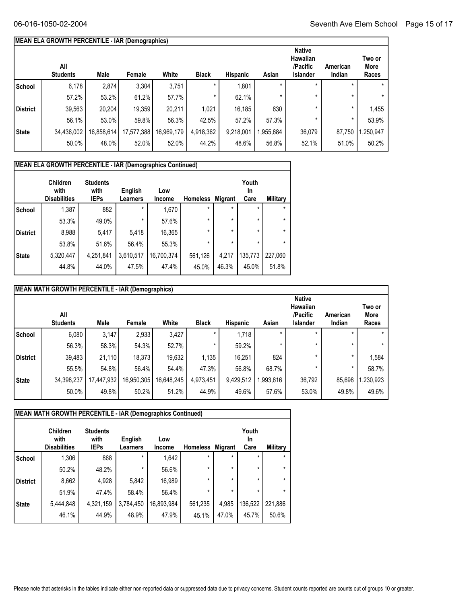## **MEAN ELA GROWTH PERCENTILE - IAR (Demographics)**

|              | All<br><b>Students</b> | Male       | Female     | White      | <b>Black</b> | <b>Hispanic</b> | Asian     | <b>Native</b><br>Hawaiian<br>/Pacific<br><b>Islander</b> | American<br>Indian | Two or<br>More<br>Races |
|--------------|------------------------|------------|------------|------------|--------------|-----------------|-----------|----------------------------------------------------------|--------------------|-------------------------|
| School       | 6,178                  | 2,874      | 3,304      | 3,751      | $\star$      | 1,801           |           | $\star$                                                  |                    | $\star$                 |
|              | 57.2%                  | 53.2%      | 61.2%      | 57.7%      | $\ast$       | 62.1%           |           | $\star$                                                  | *                  | $\star$                 |
| District     | 39,563                 | 20,204     | 19,359     | 20,211     | 1,021        | 16,185          | 630       | $\star$                                                  | *                  | 1,455                   |
|              | 56.1%                  | 53.0%      | 59.8%      | 56.3%      | 42.5%        | 57.2%           | 57.3%     |                                                          | $\star$            | 53.9%                   |
| <b>State</b> | 34,436,002             | 16,858,614 | 17,577,388 | 16,969,179 | 4,918,362    | 9,218,001       | 1,955,684 | 36,079                                                   | 87,750             | ,250,947                |
|              | 50.0%                  | 48.0%      | 52.0%      | 52.0%      | 44.2%        | 48.6%           | 56.8%     | 52.1%                                                    | 51.0%              | 50.2%                   |
|              |                        |            |            |            |              |                 |           |                                                          |                    |                         |

|                 | <b>MEAN ELA GROWTH PERCENTILE - IAR (Demographics Continued)</b> |                                        |                     |                      |                 |                |                            |          |  |  |
|-----------------|------------------------------------------------------------------|----------------------------------------|---------------------|----------------------|-----------------|----------------|----------------------------|----------|--|--|
|                 | <b>Children</b><br>with<br><b>Disabilities</b>                   | <b>Students</b><br>with<br><b>IEPs</b> | English<br>Learners | Low<br><b>Income</b> | <b>Homeless</b> | <b>Migrant</b> | Youth<br><b>In</b><br>Care | Military |  |  |
| School          | 1,387                                                            | 882                                    | $\star$             | 1,670                | $\star$         | $\star$        | $\star$                    | $\star$  |  |  |
|                 | 53.3%                                                            | 49.0%                                  | $\star$             | 57.6%                | $\star$         | $\star$        | $\star$                    | $\star$  |  |  |
| <b>District</b> | 8,988                                                            | 5,417                                  | 5,418               | 16,365               | $\star$         | $\star$        | $\star$                    | $\star$  |  |  |
|                 | 53.8%                                                            | 51.6%                                  | 56.4%               | 55.3%                | $\star$         | $\star$        | $\star$                    | $\star$  |  |  |
| <b>State</b>    | 5,320,447                                                        | 4,251,841                              | 3,610,517           | 16,700,374           | 561,126         | 4,217          | 135,773                    | 227,060  |  |  |
|                 | 44.8%                                                            | 44.0%                                  | 47.5%               | 47.4%                | 45.0%           | 46.3%          | 45.0%                      | 51.8%    |  |  |

|                 | MEAN MATH GROWTH PERCENTILE - IAR (Demographics) |            |            |            |              |                 |           |                                                                 |                    |                         |
|-----------------|--------------------------------------------------|------------|------------|------------|--------------|-----------------|-----------|-----------------------------------------------------------------|--------------------|-------------------------|
|                 | All<br><b>Students</b>                           | Male       | Female     | White      | <b>Black</b> | <b>Hispanic</b> | Asian     | <b>Native</b><br><b>Hawaiian</b><br>/Pacific<br><b>Islander</b> | American<br>Indian | Two or<br>More<br>Races |
| School          | 6,080                                            | 3,147      | 2,933      | 3,427      | ×            | 1,718           | $\star$   |                                                                 |                    | $\star$                 |
|                 | 56.3%                                            | 58.3%      | 54.3%      | 52.7%      | $\star$      | 59.2%           |           | $\star$                                                         |                    | $\star$                 |
| <b>District</b> | 39,483                                           | 21,110     | 18,373     | 19,632     | 1,135        | 16,251          | 824       | $\star$                                                         | *                  | 1,584                   |
|                 | 55.5%                                            | 54.8%      | 56.4%      | 54.4%      | 47.3%        | 56.8%           | 68.7%     | $\star$                                                         | $\star$            | 58.7%                   |
| <b>State</b>    | 34,398,237                                       | 17,447,932 | 16,950,305 | 16,648,245 | 4,973,451    | 9,429,512       | 1,993,616 | 36,792                                                          | 85,698             | ,230,923                |
|                 | 50.0%                                            | 49.8%      | 50.2%      | 51.2%      | 44.9%        | 49.6%           | 57.6%     | 53.0%                                                           | 49.8%              | 49.6%                   |

| MEAN MATH GROWTH PERCENTILE - IAR (Demographics Continued) |                                                |                                        |                     |               |                 |         |                     |          |  |
|------------------------------------------------------------|------------------------------------------------|----------------------------------------|---------------------|---------------|-----------------|---------|---------------------|----------|--|
|                                                            | <b>Children</b><br>with<br><b>Disabilities</b> | <b>Students</b><br>with<br><b>IEPs</b> | English<br>Learners | Low<br>Income | <b>Homeless</b> | Migrant | Youth<br>In<br>Care | Military |  |
| School                                                     | 1,306                                          | 868                                    | $\star$             | 1,642         | $\star$         | $\star$ | $\star$             | $\star$  |  |
|                                                            | 50.2%                                          | 48.2%                                  | $\star$             | 56.6%         | $\star$         | $\star$ | $\star$             | $\star$  |  |
| <b>District</b>                                            | 8,662                                          | 4,928                                  | 5,842               | 16,989        | $\star$         | $\star$ | $\star$             | $\star$  |  |
|                                                            | 51.9%                                          | 47.4%                                  | 58.4%               | 56.4%         | $\star$         | $\star$ | $\star$             | $\star$  |  |
| <b>State</b>                                               | 5,444,848                                      | 4,321,159                              | 3,784,450           | 16,893,984    | 561,235         | 4,985   | 136,522             | 221,886  |  |
|                                                            | 46.1%                                          | 44.9%                                  | 48.9%               | 47.9%         | 45.1%           | 47.0%   | 45.7%               | 50.6%    |  |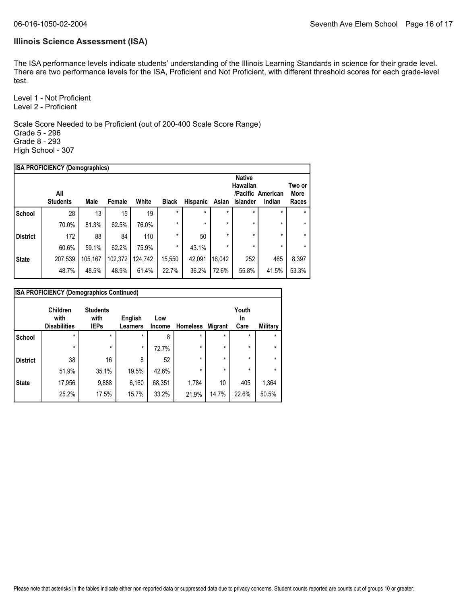#### **Illinois Science Assessment (ISA)**

The ISA performance levels indicate students' understanding of the Illinois Learning Standards in science for their grade level. There are two performance levels for the ISA, Proficient and Not Proficient, with different threshold scores for each grade-level test.

Level 1 - Not Proficient Level 2 - Proficient

Scale Score Needed to be Proficient (out of 200-400 Scale Score Range) Grade 5 - 296 Grade 8 - 293 High School - 307

|                 | <b>ISA PROFICIENCY (Demographics)</b> |         |         |         |              |          |         |                                              |                             |                         |
|-----------------|---------------------------------------|---------|---------|---------|--------------|----------|---------|----------------------------------------------|-----------------------------|-------------------------|
|                 | All<br><b>Students</b>                | Male    | Female  | White   | <b>Black</b> | Hispanic | Asian   | <b>Native</b><br><b>Hawaiian</b><br>Islander | /Pacific American<br>Indian | Two or<br>More<br>Races |
| <b>School</b>   | 28                                    | 13      | 15      | 19      | $\star$      | $\star$  | $\star$ | *                                            | $\star$                     |                         |
|                 | 70.0%                                 | 81.3%   | 62.5%   | 76.0%   | $\star$      | $\star$  | $\star$ | $\star$                                      | $\star$                     | $\star$                 |
| <b>District</b> | 172                                   | 88      | 84      | 110     | $\star$      | 50       | $\star$ | $\star$                                      | $\star$                     | $\star$                 |
|                 | 60.6%                                 | 59.1%   | 62.2%   | 75.9%   | *            | 43.1%    | $\star$ | $\star$                                      | $\star$                     | $\star$                 |
| <b>State</b>    | 207,539                               | 105,167 | 102,372 | 124.742 | 15,550       | 42.091   | 16,042  | 252                                          | 465                         | 8,397                   |
|                 | 48.7%                                 | 48.5%   | 48.9%   | 61.4%   | 22.7%        | 36.2%    | 72.6%   | 55.8%                                        | 41.5%                       | 53.3%                   |
|                 |                                       |         |         |         |              |          |         |                                              |                             |                         |

|                 | <b>ISA PROFICIENCY (Demographics Continued)</b> |                                        |                            |               |                 |                |                     |          |  |
|-----------------|-------------------------------------------------|----------------------------------------|----------------------------|---------------|-----------------|----------------|---------------------|----------|--|
|                 | Children<br>with<br><b>Disabilities</b>         | <b>Students</b><br>with<br><b>IEPs</b> | English<br><b>Learners</b> | Low<br>Income | <b>Homeless</b> | <b>Migrant</b> | Youth<br>In<br>Care | Military |  |
| <b>School</b>   | $\star$                                         | $\star$                                | $\star$                    | 8             | $\star$         | $\star$        | $\star$             | $\star$  |  |
|                 | $\star$                                         | $\star$                                | $\star$                    | 72.7%         | $\star$         | $\star$        | $\star$             | *        |  |
| <b>District</b> | 38                                              | 16                                     | 8                          | 52            | $\star$         | $\star$        | $\star$             | *        |  |
|                 | 51.9%                                           | 35.1%                                  | 19.5%                      | 42.6%         | $\star$         | $\star$        | $\star$             | *        |  |
| <b>State</b>    | 17,956                                          | 9,888                                  | 6,160                      | 68,351        | 1,784           | 10             | 405                 | 1,364    |  |
|                 | 25.2%                                           | 17.5%                                  | 15.7%                      | 33.2%         | 21.9%           | 14.7%          | 22.6%               | 50.5%    |  |